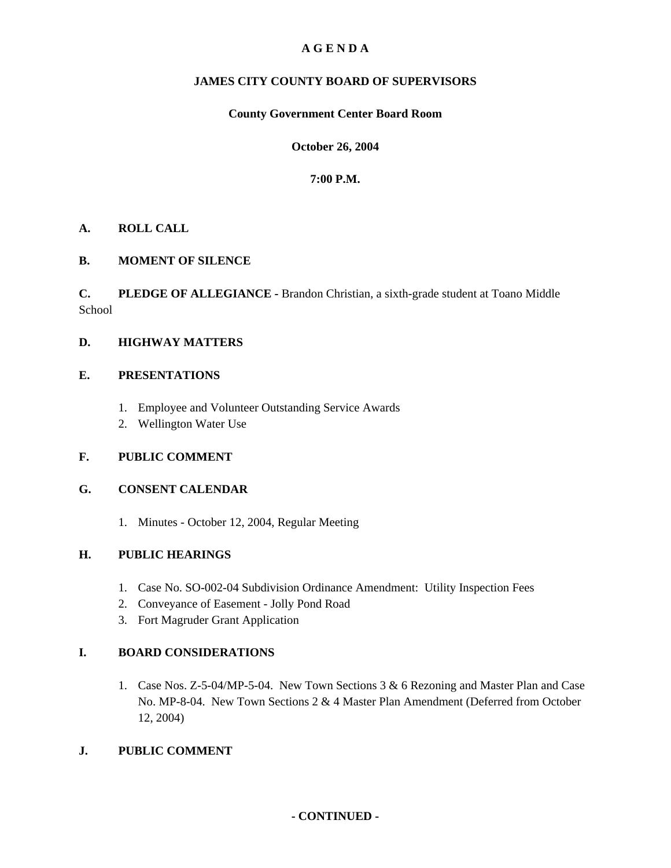# **A G E N D A**

# **JAMES CITY COUNTY BOARD OF SUPERVISORS**

# **County Government Center Board Room**

# **October 26, 2004**

# **7:00 P.M.**

# **A. ROLL CALL**

# **B. MOMENT OF SILENCE**

**C. PLEDGE OF ALLEGIANCE -** Brandon Christian, a sixth-grade student at Toano Middle School

# **D. HIGHWAY MATTERS**

# **E. PRESENTATIONS**

- 1. Employee and Volunteer Outstanding Service Awards
- 2. Wellington Water Use

# **F. PUBLIC COMMENT**

# **G. CONSENT CALENDAR**

1. Minutes - October 12, 2004, Regular Meeting

# **H. PUBLIC HEARINGS**

- 1. Case No. SO-002-04 Subdivision Ordinance Amendment: Utility Inspection Fees
- 2. Conveyance of Easement Jolly Pond Road
- 3. Fort Magruder Grant Application

# **I. BOARD CONSIDERATIONS**

1. Case Nos. Z-5-04/MP-5-04. New Town Sections 3 & 6 Rezoning and Master Plan and Case No. MP-8-04. New Town Sections 2 & 4 Master Plan Amendment (Deferred from October 12, 2004)

# **J. PUBLIC COMMENT**

# **- CONTINUED -**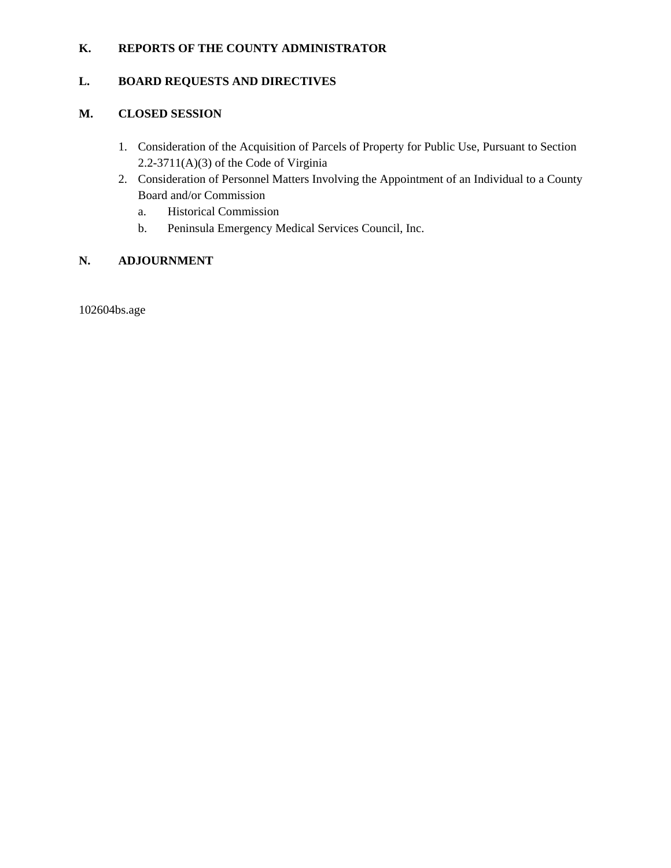# **K. REPORTS OF THE COUNTY ADMINISTRATOR**

# **L. BOARD REQUESTS AND DIRECTIVES**

# **M. CLOSED SESSION**

- 1. Consideration of the Acquisition of Parcels of Property for Public Use, Pursuant to Section 2.2-3711(A)(3) of the Code of Virginia
- 2. Consideration of Personnel Matters Involving the Appointment of an Individual to a County Board and/or Commission
	- a. Historical Commission
	- b. Peninsula Emergency Medical Services Council, Inc.

# **N. ADJOURNMENT**

102604bs.age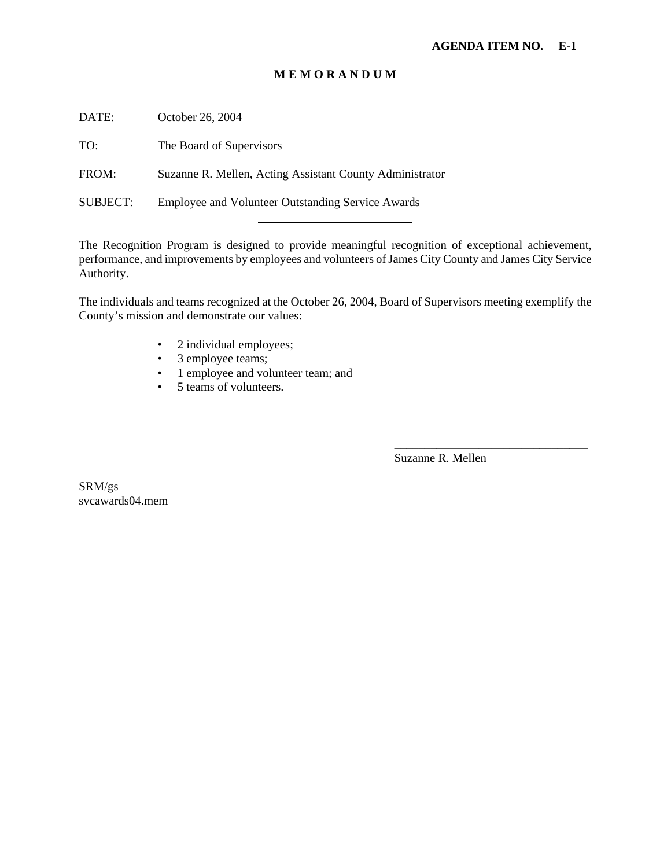# **M E M O R A N D U M**

DATE: October 26, 2004

TO: The Board of Supervisors

FROM: Suzanne R. Mellen, Acting Assistant County Administrator

SUBJECT: Employee and Volunteer Outstanding Service Awards

The Recognition Program is designed to provide meaningful recognition of exceptional achievement, performance, and improvements by employees and volunteers of James City County and James City Service Authority.

The individuals and teams recognized at the October 26, 2004, Board of Supervisors meeting exemplify the County's mission and demonstrate our values:

- 2 individual employees;
- 3 employee teams;
- 1 employee and volunteer team; and
- 5 teams of volunteers.

Suzanne R. Mellen

\_\_\_\_\_\_\_\_\_\_\_\_\_\_\_\_\_\_\_\_\_\_\_\_\_\_\_\_\_\_\_\_

SRM/gs svcawards04.mem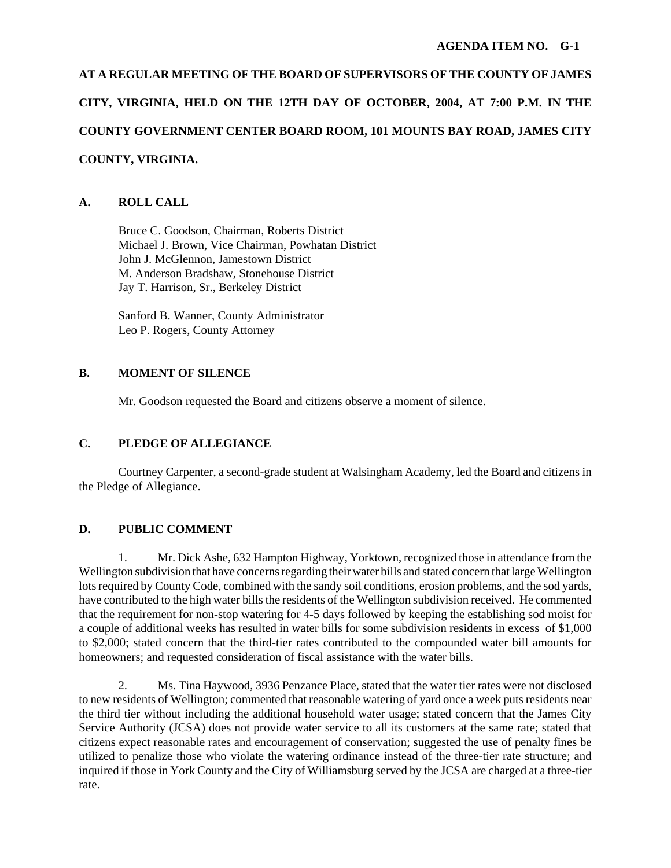**AT A REGULAR MEETING OF THE BOARD OF SUPERVISORS OF THE COUNTY OF JAMES CITY, VIRGINIA, HELD ON THE 12TH DAY OF OCTOBER, 2004, AT 7:00 P.M. IN THE COUNTY GOVERNMENT CENTER BOARD ROOM, 101 MOUNTS BAY ROAD, JAMES CITY COUNTY, VIRGINIA.**

# **A. ROLL CALL**

Bruce C. Goodson, Chairman, Roberts District Michael J. Brown, Vice Chairman, Powhatan District John J. McGlennon, Jamestown District M. Anderson Bradshaw, Stonehouse District Jay T. Harrison, Sr., Berkeley District

Sanford B. Wanner, County Administrator Leo P. Rogers, County Attorney

# **B. MOMENT OF SILENCE**

Mr. Goodson requested the Board and citizens observe a moment of silence.

# **C. PLEDGE OF ALLEGIANCE**

Courtney Carpenter, a second-grade student at Walsingham Academy, led the Board and citizens in the Pledge of Allegiance.

# **D. PUBLIC COMMENT**

1. Mr. Dick Ashe, 632 Hampton Highway, Yorktown, recognized those in attendance from the Wellington subdivision that have concerns regarding their water bills and stated concern that large Wellington lots required by County Code, combined with the sandy soil conditions, erosion problems, and the sod yards, have contributed to the high water bills the residents of the Wellington subdivision received. He commented that the requirement for non-stop watering for 4-5 days followed by keeping the establishing sod moist for a couple of additional weeks has resulted in water bills for some subdivision residents in excess of \$1,000 to \$2,000; stated concern that the third-tier rates contributed to the compounded water bill amounts for homeowners; and requested consideration of fiscal assistance with the water bills.

2. Ms. Tina Haywood, 3936 Penzance Place, stated that the water tier rates were not disclosed to new residents of Wellington; commented that reasonable watering of yard once a week puts residents near the third tier without including the additional household water usage; stated concern that the James City Service Authority (JCSA) does not provide water service to all its customers at the same rate; stated that citizens expect reasonable rates and encouragement of conservation; suggested the use of penalty fines be utilized to penalize those who violate the watering ordinance instead of the three-tier rate structure; and inquired if those in York County and the City of Williamsburg served by the JCSA are charged at a three-tier rate.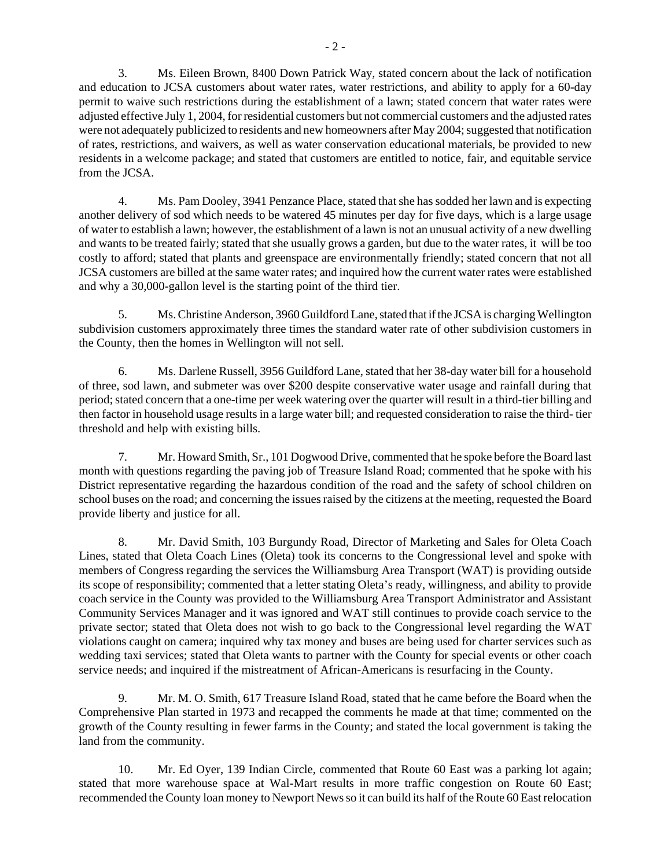3. Ms. Eileen Brown, 8400 Down Patrick Way, stated concern about the lack of notification and education to JCSA customers about water rates, water restrictions, and ability to apply for a 60-day permit to waive such restrictions during the establishment of a lawn; stated concern that water rates were adjusted effective July 1, 2004, for residential customers but not commercial customers and the adjusted rates were not adequately publicized to residents and new homeowners after May 2004; suggested that notification of rates, restrictions, and waivers, as well as water conservation educational materials, be provided to new residents in a welcome package; and stated that customers are entitled to notice, fair, and equitable service from the JCSA.

4. Ms. Pam Dooley, 3941 Penzance Place, stated that she has sodded her lawn and is expecting another delivery of sod which needs to be watered 45 minutes per day for five days, which is a large usage of water to establish a lawn; however, the establishment of a lawn is not an unusual activity of a new dwelling and wants to be treated fairly; stated that she usually grows a garden, but due to the water rates, it will be too costly to afford; stated that plants and greenspace are environmentally friendly; stated concern that not all JCSA customers are billed at the same water rates; and inquired how the current water rates were established and why a 30,000-gallon level is the starting point of the third tier.

5. Ms. Christine Anderson, 3960 Guildford Lane, stated that if the JCSA is charging Wellington subdivision customers approximately three times the standard water rate of other subdivision customers in the County, then the homes in Wellington will not sell.

6. Ms. Darlene Russell, 3956 Guildford Lane, stated that her 38-day water bill for a household of three, sod lawn, and submeter was over \$200 despite conservative water usage and rainfall during that period; stated concern that a one-time per week watering over the quarter will result in a third-tier billing and then factor in household usage results in a large water bill; and requested consideration to raise the third- tier threshold and help with existing bills.

7. Mr. Howard Smith, Sr., 101 Dogwood Drive, commented that he spoke before the Board last month with questions regarding the paving job of Treasure Island Road; commented that he spoke with his District representative regarding the hazardous condition of the road and the safety of school children on school buses on the road; and concerning the issues raised by the citizens at the meeting, requested the Board provide liberty and justice for all.

8. Mr. David Smith, 103 Burgundy Road, Director of Marketing and Sales for Oleta Coach Lines, stated that Oleta Coach Lines (Oleta) took its concerns to the Congressional level and spoke with members of Congress regarding the services the Williamsburg Area Transport (WAT) is providing outside its scope of responsibility; commented that a letter stating Oleta's ready, willingness, and ability to provide coach service in the County was provided to the Williamsburg Area Transport Administrator and Assistant Community Services Manager and it was ignored and WAT still continues to provide coach service to the private sector; stated that Oleta does not wish to go back to the Congressional level regarding the WAT violations caught on camera; inquired why tax money and buses are being used for charter services such as wedding taxi services; stated that Oleta wants to partner with the County for special events or other coach service needs; and inquired if the mistreatment of African-Americans is resurfacing in the County.

9. Mr. M. O. Smith, 617 Treasure Island Road, stated that he came before the Board when the Comprehensive Plan started in 1973 and recapped the comments he made at that time; commented on the growth of the County resulting in fewer farms in the County; and stated the local government is taking the land from the community.

10. Mr. Ed Oyer, 139 Indian Circle, commented that Route 60 East was a parking lot again; stated that more warehouse space at Wal-Mart results in more traffic congestion on Route 60 East; recommended the County loan money to Newport News so it can build its half of the Route 60 East relocation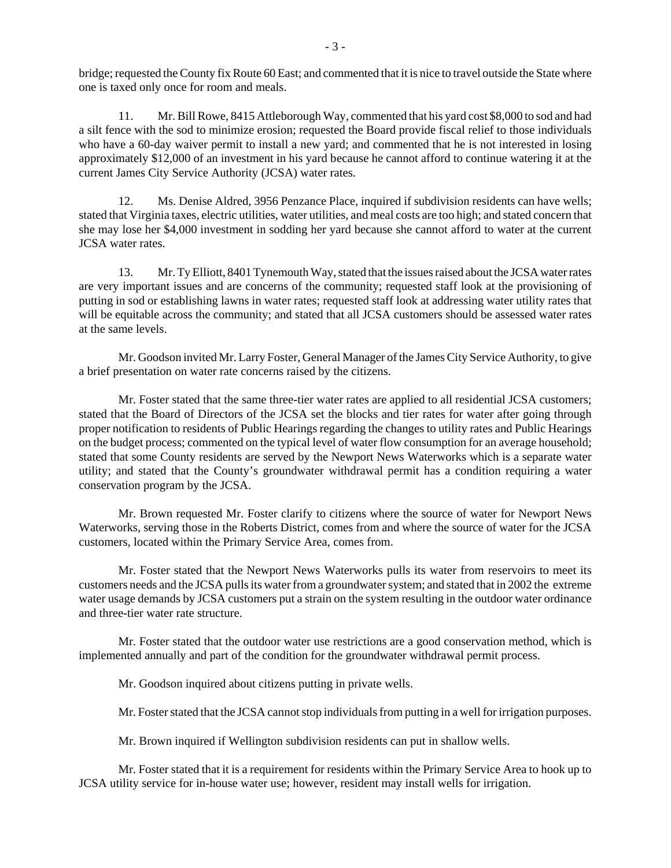bridge; requested the County fix Route 60 East; and commented that it is nice to travel outside the State where one is taxed only once for room and meals.

11. Mr. Bill Rowe, 8415 Attleborough Way, commented that his yard cost \$8,000 to sod and had a silt fence with the sod to minimize erosion; requested the Board provide fiscal relief to those individuals who have a 60-day waiver permit to install a new yard; and commented that he is not interested in losing approximately \$12,000 of an investment in his yard because he cannot afford to continue watering it at the current James City Service Authority (JCSA) water rates.

12. Ms. Denise Aldred, 3956 Penzance Place, inquired if subdivision residents can have wells; stated that Virginia taxes, electric utilities, water utilities, and meal costs are too high; and stated concern that she may lose her \$4,000 investment in sodding her yard because she cannot afford to water at the current JCSA water rates.

13. Mr. Ty Elliott, 8401 Tynemouth Way, stated that the issues raised about the JCSA water rates are very important issues and are concerns of the community; requested staff look at the provisioning of putting in sod or establishing lawns in water rates; requested staff look at addressing water utility rates that will be equitable across the community; and stated that all JCSA customers should be assessed water rates at the same levels.

Mr. Goodson invited Mr. Larry Foster, General Manager of the James City Service Authority, to give a brief presentation on water rate concerns raised by the citizens.

Mr. Foster stated that the same three-tier water rates are applied to all residential JCSA customers; stated that the Board of Directors of the JCSA set the blocks and tier rates for water after going through proper notification to residents of Public Hearings regarding the changes to utility rates and Public Hearings on the budget process; commented on the typical level of water flow consumption for an average household; stated that some County residents are served by the Newport News Waterworks which is a separate water utility; and stated that the County's groundwater withdrawal permit has a condition requiring a water conservation program by the JCSA.

Mr. Brown requested Mr. Foster clarify to citizens where the source of water for Newport News Waterworks, serving those in the Roberts District, comes from and where the source of water for the JCSA customers, located within the Primary Service Area, comes from.

Mr. Foster stated that the Newport News Waterworks pulls its water from reservoirs to meet its customers needs and the JCSA pulls its water from a groundwater system; and stated that in 2002 the extreme water usage demands by JCSA customers put a strain on the system resulting in the outdoor water ordinance and three-tier water rate structure.

Mr. Foster stated that the outdoor water use restrictions are a good conservation method, which is implemented annually and part of the condition for the groundwater withdrawal permit process.

Mr. Goodson inquired about citizens putting in private wells.

Mr. Foster stated that the JCSA cannot stop individuals from putting in a well for irrigation purposes.

Mr. Brown inquired if Wellington subdivision residents can put in shallow wells.

Mr. Foster stated that it is a requirement for residents within the Primary Service Area to hook up to JCSA utility service for in-house water use; however, resident may install wells for irrigation.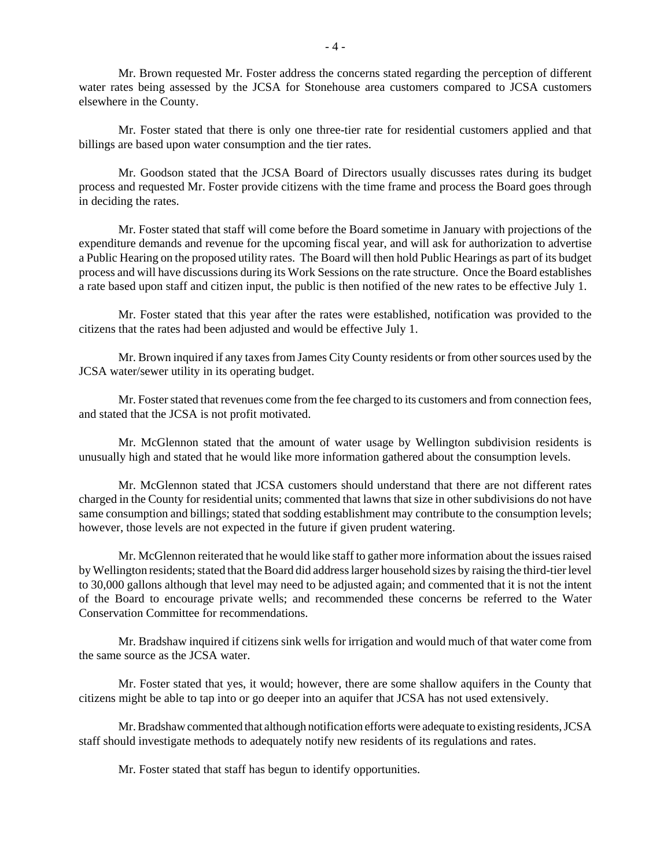Mr. Brown requested Mr. Foster address the concerns stated regarding the perception of different water rates being assessed by the JCSA for Stonehouse area customers compared to JCSA customers elsewhere in the County.

Mr. Foster stated that there is only one three-tier rate for residential customers applied and that billings are based upon water consumption and the tier rates.

Mr. Goodson stated that the JCSA Board of Directors usually discusses rates during its budget process and requested Mr. Foster provide citizens with the time frame and process the Board goes through in deciding the rates.

Mr. Foster stated that staff will come before the Board sometime in January with projections of the expenditure demands and revenue for the upcoming fiscal year, and will ask for authorization to advertise a Public Hearing on the proposed utility rates. The Board will then hold Public Hearings as part of its budget process and will have discussions during its Work Sessions on the rate structure. Once the Board establishes a rate based upon staff and citizen input, the public is then notified of the new rates to be effective July 1.

Mr. Foster stated that this year after the rates were established, notification was provided to the citizens that the rates had been adjusted and would be effective July 1.

Mr. Brown inquired if any taxes from James City County residents or from other sources used by the JCSA water/sewer utility in its operating budget.

Mr. Foster stated that revenues come from the fee charged to its customers and from connection fees, and stated that the JCSA is not profit motivated.

Mr. McGlennon stated that the amount of water usage by Wellington subdivision residents is unusually high and stated that he would like more information gathered about the consumption levels.

Mr. McGlennon stated that JCSA customers should understand that there are not different rates charged in the County for residential units; commented that lawns that size in other subdivisions do not have same consumption and billings; stated that sodding establishment may contribute to the consumption levels; however, those levels are not expected in the future if given prudent watering.

Mr. McGlennon reiterated that he would like staff to gather more information about the issues raised by Wellington residents; stated that the Board did address larger household sizes by raising the third-tier level to 30,000 gallons although that level may need to be adjusted again; and commented that it is not the intent of the Board to encourage private wells; and recommended these concerns be referred to the Water Conservation Committee for recommendations.

Mr. Bradshaw inquired if citizens sink wells for irrigation and would much of that water come from the same source as the JCSA water.

Mr. Foster stated that yes, it would; however, there are some shallow aquifers in the County that citizens might be able to tap into or go deeper into an aquifer that JCSA has not used extensively.

Mr. Bradshaw commented that although notification efforts were adequate to existing residents, JCSA staff should investigate methods to adequately notify new residents of its regulations and rates.

Mr. Foster stated that staff has begun to identify opportunities.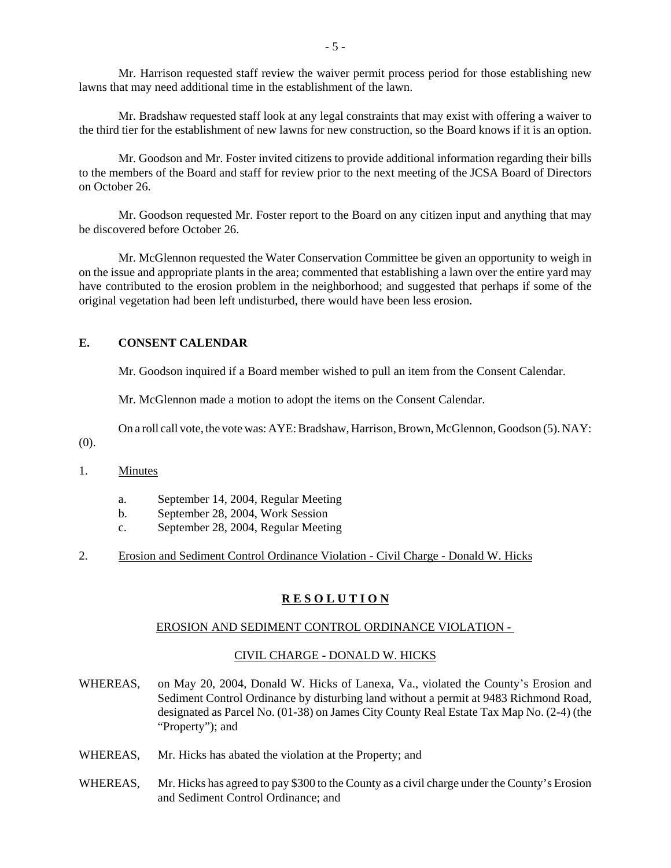Mr. Harrison requested staff review the waiver permit process period for those establishing new lawns that may need additional time in the establishment of the lawn.

Mr. Bradshaw requested staff look at any legal constraints that may exist with offering a waiver to the third tier for the establishment of new lawns for new construction, so the Board knows if it is an option.

Mr. Goodson and Mr. Foster invited citizens to provide additional information regarding their bills to the members of the Board and staff for review prior to the next meeting of the JCSA Board of Directors on October 26.

Mr. Goodson requested Mr. Foster report to the Board on any citizen input and anything that may be discovered before October 26.

Mr. McGlennon requested the Water Conservation Committee be given an opportunity to weigh in on the issue and appropriate plants in the area; commented that establishing a lawn over the entire yard may have contributed to the erosion problem in the neighborhood; and suggested that perhaps if some of the original vegetation had been left undisturbed, there would have been less erosion.

# **E. CONSENT CALENDAR**

Mr. Goodson inquired if a Board member wished to pull an item from the Consent Calendar.

Mr. McGlennon made a motion to adopt the items on the Consent Calendar.

On a roll call vote, the vote was: AYE: Bradshaw, Harrison, Brown, McGlennon, Goodson (5). NAY:

(0).

## 1. Minutes

- a. September 14, 2004, Regular Meeting
- b. September 28, 2004, Work Session
- c. September 28, 2004, Regular Meeting
- 2. Erosion and Sediment Control Ordinance Violation Civil Charge Donald W. Hicks

#### **R E S O L U T I O N**

#### EROSION AND SEDIMENT CONTROL ORDINANCE VIOLATION -

#### CIVIL CHARGE - DONALD W. HICKS

- WHEREAS, on May 20, 2004, Donald W. Hicks of Lanexa, Va., violated the County's Erosion and Sediment Control Ordinance by disturbing land without a permit at 9483 Richmond Road, designated as Parcel No. (01-38) on James City County Real Estate Tax Map No. (2-4) (the "Property"); and
- WHEREAS, Mr. Hicks has abated the violation at the Property; and
- WHEREAS, Mr. Hicks has agreed to pay \$300 to the County as a civil charge under the County's Erosion and Sediment Control Ordinance; and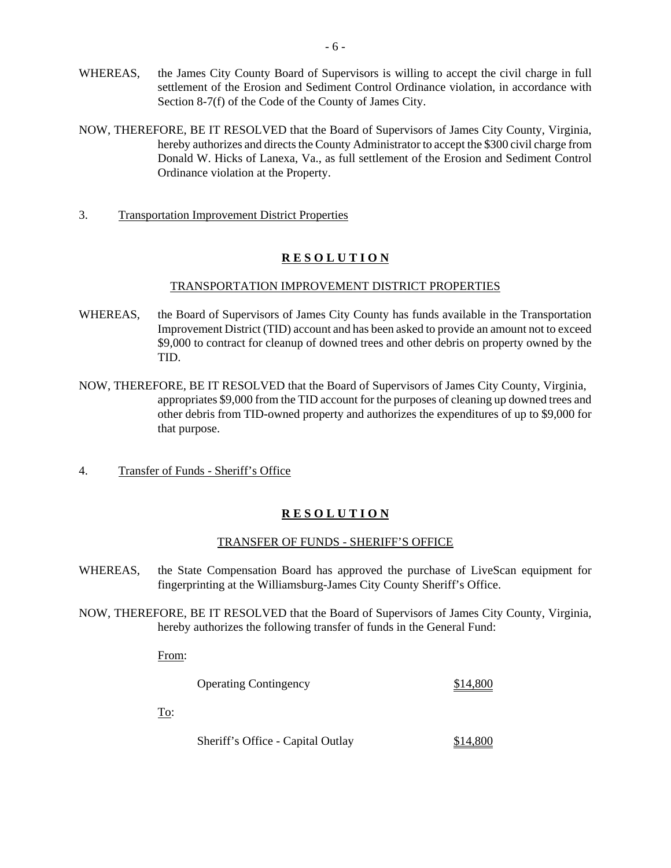- WHEREAS, the James City County Board of Supervisors is willing to accept the civil charge in full settlement of the Erosion and Sediment Control Ordinance violation, in accordance with Section 8-7(f) of the Code of the County of James City.
- NOW, THEREFORE, BE IT RESOLVED that the Board of Supervisors of James City County, Virginia, hereby authorizes and directs the County Administrator to accept the \$300 civil charge from Donald W. Hicks of Lanexa, Va., as full settlement of the Erosion and Sediment Control Ordinance violation at the Property.
- 3. Transportation Improvement District Properties

# **R E S O L U T I O N**

## TRANSPORTATION IMPROVEMENT DISTRICT PROPERTIES

- WHEREAS, the Board of Supervisors of James City County has funds available in the Transportation Improvement District (TID) account and has been asked to provide an amount not to exceed \$9,000 to contract for cleanup of downed trees and other debris on property owned by the TID.
- NOW, THEREFORE, BE IT RESOLVED that the Board of Supervisors of James City County, Virginia, appropriates \$9,000 from the TID account for the purposes of cleaning up downed trees and other debris from TID-owned property and authorizes the expenditures of up to \$9,000 for that purpose.
- 4. Transfer of Funds Sheriff's Office

# **R E S O L U T I O N**

# TRANSFER OF FUNDS - SHERIFF'S OFFICE

- WHEREAS, the State Compensation Board has approved the purchase of LiveScan equipment for fingerprinting at the Williamsburg-James City County Sheriff's Office.
- NOW, THEREFORE, BE IT RESOLVED that the Board of Supervisors of James City County, Virginia, hereby authorizes the following transfer of funds in the General Fund:

From:

| <b>Operating Contingency</b> | \$14,800 |
|------------------------------|----------|
|------------------------------|----------|

To:

| Sheriff's Office - Capital Outlay | \$14,800 |
|-----------------------------------|----------|
|                                   |          |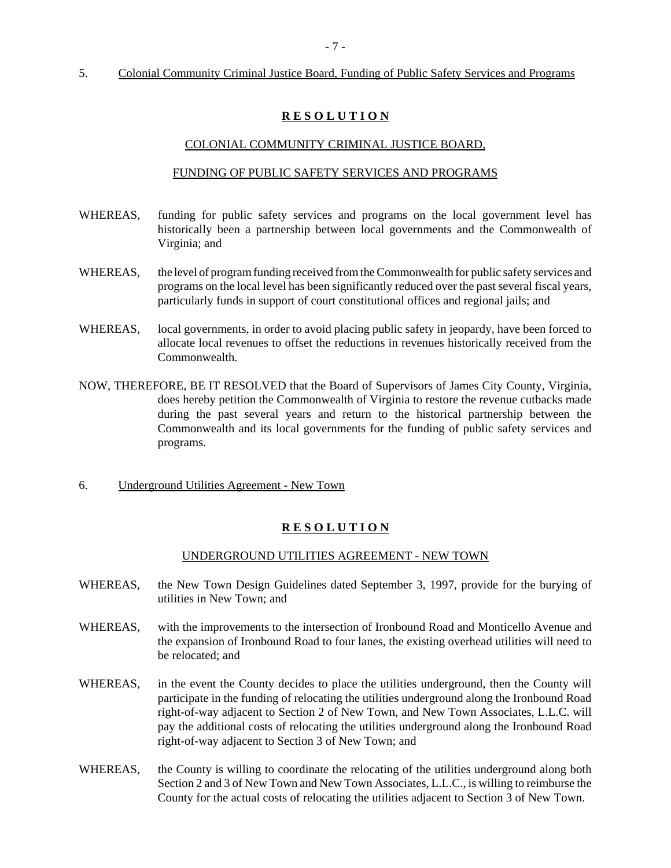#### 5. Colonial Community Criminal Justice Board, Funding of Public Safety Services and Programs

## **R E S O L U T I O N**

#### COLONIAL COMMUNITY CRIMINAL JUSTICE BOARD,

#### FUNDING OF PUBLIC SAFETY SERVICES AND PROGRAMS

- WHEREAS, funding for public safety services and programs on the local government level has historically been a partnership between local governments and the Commonwealth of Virginia; and
- WHEREAS, the level of program funding received from the Commonwealth for public safety services and programs on the local level has been significantly reduced over the past several fiscal years, particularly funds in support of court constitutional offices and regional jails; and
- WHEREAS, local governments, in order to avoid placing public safety in jeopardy, have been forced to allocate local revenues to offset the reductions in revenues historically received from the Commonwealth.
- NOW, THEREFORE, BE IT RESOLVED that the Board of Supervisors of James City County, Virginia, does hereby petition the Commonwealth of Virginia to restore the revenue cutbacks made during the past several years and return to the historical partnership between the Commonwealth and its local governments for the funding of public safety services and programs.
- 6. Underground Utilities Agreement New Town

# **R E S O L U T I O N**

#### UNDERGROUND UTILITIES AGREEMENT - NEW TOWN

- WHEREAS, the New Town Design Guidelines dated September 3, 1997, provide for the burying of utilities in New Town; and
- WHEREAS, with the improvements to the intersection of Ironbound Road and Monticello Avenue and the expansion of Ironbound Road to four lanes, the existing overhead utilities will need to be relocated; and
- WHEREAS, in the event the County decides to place the utilities underground, then the County will participate in the funding of relocating the utilities underground along the Ironbound Road right-of-way adjacent to Section 2 of New Town, and New Town Associates, L.L.C. will pay the additional costs of relocating the utilities underground along the Ironbound Road right-of-way adjacent to Section 3 of New Town; and
- WHEREAS, the County is willing to coordinate the relocating of the utilities underground along both Section 2 and 3 of New Town and New Town Associates, L.L.C., is willing to reimburse the County for the actual costs of relocating the utilities adjacent to Section 3 of New Town.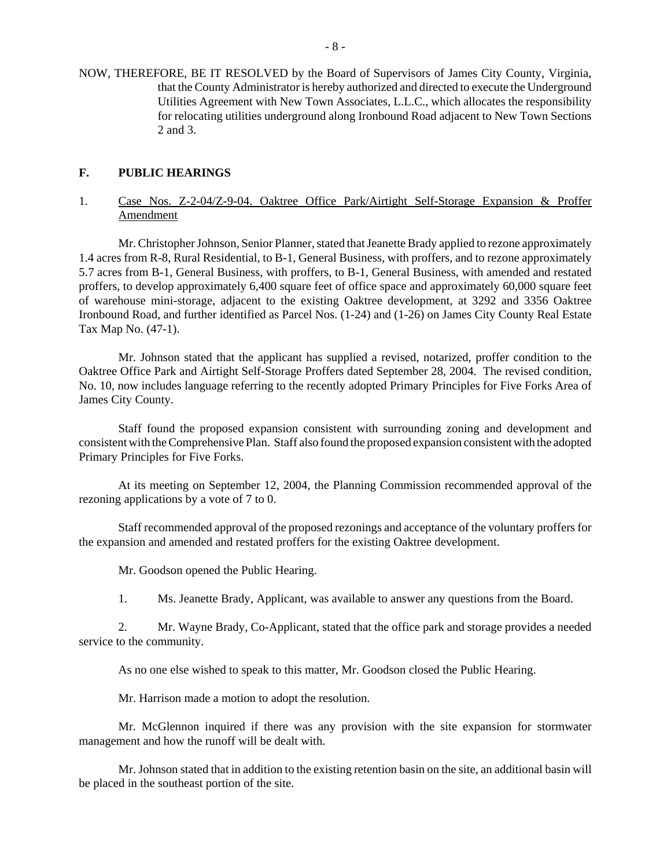NOW, THEREFORE, BE IT RESOLVED by the Board of Supervisors of James City County, Virginia, that the County Administrator is hereby authorized and directed to execute the Underground Utilities Agreement with New Town Associates, L.L.C., which allocates the responsibility for relocating utilities underground along Ironbound Road adjacent to New Town Sections 2 and 3.

# **F. PUBLIC HEARINGS**

# 1. Case Nos. Z-2-04/Z-9-04. Oaktree Office Park/Airtight Self-Storage Expansion & Proffer Amendment

Mr. Christopher Johnson, Senior Planner, stated that Jeanette Brady applied to rezone approximately 1.4 acres from R-8, Rural Residential, to B-1, General Business, with proffers, and to rezone approximately 5.7 acres from B-1, General Business, with proffers, to B-1, General Business, with amended and restated proffers, to develop approximately 6,400 square feet of office space and approximately 60,000 square feet of warehouse mini-storage, adjacent to the existing Oaktree development, at 3292 and 3356 Oaktree Ironbound Road, and further identified as Parcel Nos. (1-24) and (1-26) on James City County Real Estate Tax Map No. (47-1).

Mr. Johnson stated that the applicant has supplied a revised, notarized, proffer condition to the Oaktree Office Park and Airtight Self-Storage Proffers dated September 28, 2004. The revised condition, No. 10, now includes language referring to the recently adopted Primary Principles for Five Forks Area of James City County.

Staff found the proposed expansion consistent with surrounding zoning and development and consistent with the Comprehensive Plan. Staff also found the proposed expansion consistent with the adopted Primary Principles for Five Forks.

At its meeting on September 12, 2004, the Planning Commission recommended approval of the rezoning applications by a vote of 7 to 0.

Staff recommended approval of the proposed rezonings and acceptance of the voluntary proffers for the expansion and amended and restated proffers for the existing Oaktree development.

Mr. Goodson opened the Public Hearing.

1. Ms. Jeanette Brady, Applicant, was available to answer any questions from the Board.

2. Mr. Wayne Brady, Co-Applicant, stated that the office park and storage provides a needed service to the community.

As no one else wished to speak to this matter, Mr. Goodson closed the Public Hearing.

Mr. Harrison made a motion to adopt the resolution.

Mr. McGlennon inquired if there was any provision with the site expansion for stormwater management and how the runoff will be dealt with.

Mr. Johnson stated that in addition to the existing retention basin on the site, an additional basin will be placed in the southeast portion of the site.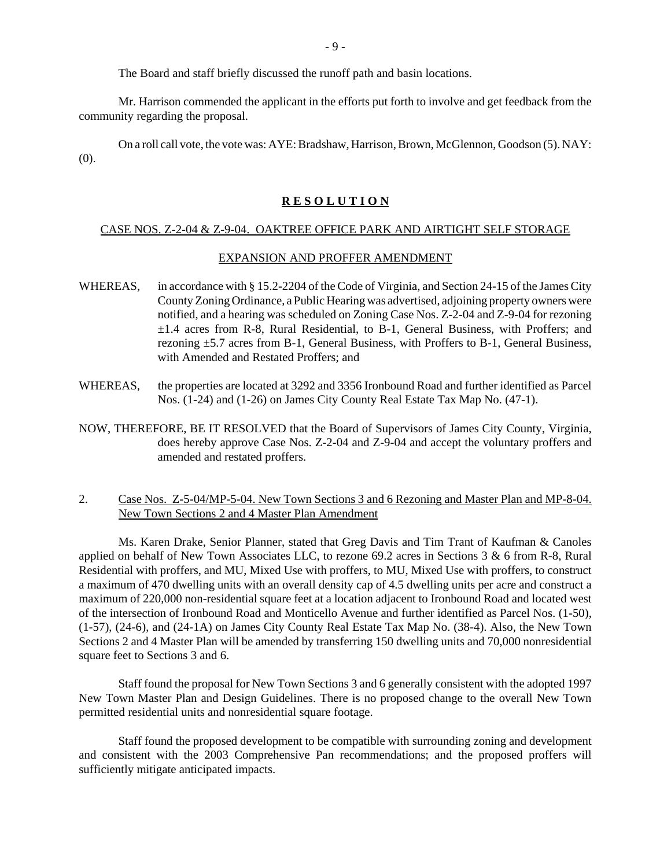The Board and staff briefly discussed the runoff path and basin locations.

Mr. Harrison commended the applicant in the efforts put forth to involve and get feedback from the community regarding the proposal.

On a roll call vote, the vote was: AYE: Bradshaw, Harrison, Brown, McGlennon, Goodson (5). NAY: (0).

#### **R E S O L U T I O N**

#### CASE NOS. Z-2-04 & Z-9-04. OAKTREE OFFICE PARK AND AIRTIGHT SELF STORAGE

#### EXPANSION AND PROFFER AMENDMENT

- WHEREAS, in accordance with § 15.2-2204 of the Code of Virginia, and Section 24-15 of the James City County Zoning Ordinance, a Public Hearing was advertised, adjoining property owners were notified, and a hearing was scheduled on Zoning Case Nos. Z-2-04 and Z-9-04 for rezoning ±1.4 acres from R-8, Rural Residential, to B-1, General Business, with Proffers; and rezoning ±5.7 acres from B-1, General Business, with Proffers to B-1, General Business, with Amended and Restated Proffers; and
- WHEREAS, the properties are located at 3292 and 3356 Ironbound Road and further identified as Parcel Nos. (1-24) and (1-26) on James City County Real Estate Tax Map No. (47-1).
- NOW, THEREFORE, BE IT RESOLVED that the Board of Supervisors of James City County, Virginia, does hereby approve Case Nos. Z-2-04 and Z-9-04 and accept the voluntary proffers and amended and restated proffers.

## 2. Case Nos. Z-5-04/MP-5-04. New Town Sections 3 and 6 Rezoning and Master Plan and MP-8-04. New Town Sections 2 and 4 Master Plan Amendment

Ms. Karen Drake, Senior Planner, stated that Greg Davis and Tim Trant of Kaufman & Canoles applied on behalf of New Town Associates LLC, to rezone 69.2 acres in Sections 3 & 6 from R-8, Rural Residential with proffers, and MU, Mixed Use with proffers, to MU, Mixed Use with proffers, to construct a maximum of 470 dwelling units with an overall density cap of 4.5 dwelling units per acre and construct a maximum of 220,000 non-residential square feet at a location adjacent to Ironbound Road and located west of the intersection of Ironbound Road and Monticello Avenue and further identified as Parcel Nos. (1-50), (1-57), (24-6), and (24-1A) on James City County Real Estate Tax Map No. (38-4). Also, the New Town Sections 2 and 4 Master Plan will be amended by transferring 150 dwelling units and 70,000 nonresidential square feet to Sections 3 and 6.

Staff found the proposal for New Town Sections 3 and 6 generally consistent with the adopted 1997 New Town Master Plan and Design Guidelines. There is no proposed change to the overall New Town permitted residential units and nonresidential square footage.

Staff found the proposed development to be compatible with surrounding zoning and development and consistent with the 2003 Comprehensive Pan recommendations; and the proposed proffers will sufficiently mitigate anticipated impacts.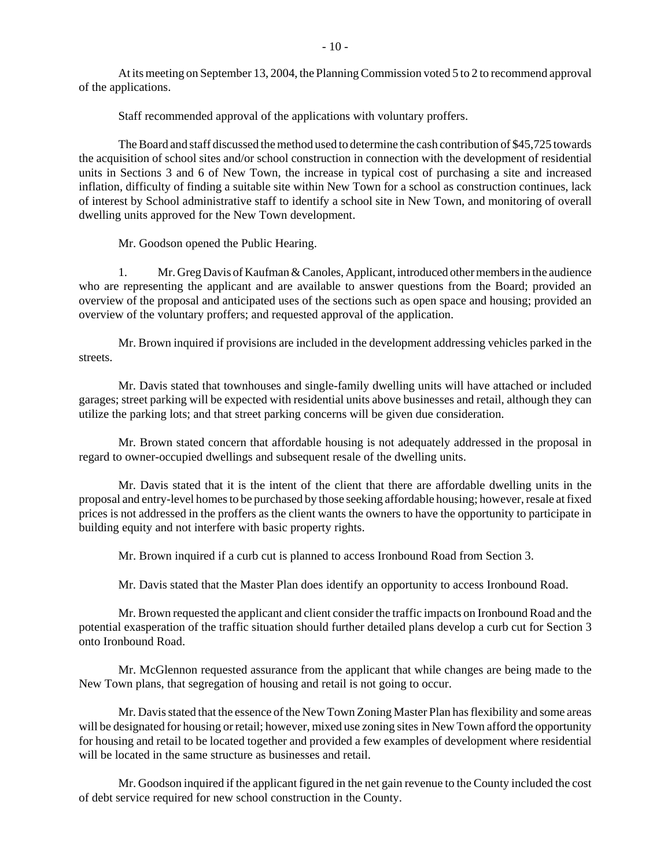At its meeting on September 13, 2004, the Planning Commission voted 5 to 2 to recommend approval of the applications.

Staff recommended approval of the applications with voluntary proffers.

The Board and staff discussed the method used to determine the cash contribution of \$45,725 towards the acquisition of school sites and/or school construction in connection with the development of residential units in Sections 3 and 6 of New Town, the increase in typical cost of purchasing a site and increased inflation, difficulty of finding a suitable site within New Town for a school as construction continues, lack of interest by School administrative staff to identify a school site in New Town, and monitoring of overall dwelling units approved for the New Town development.

Mr. Goodson opened the Public Hearing.

1. Mr. Greg Davis of Kaufman & Canoles, Applicant, introduced other members in the audience who are representing the applicant and are available to answer questions from the Board; provided an overview of the proposal and anticipated uses of the sections such as open space and housing; provided an overview of the voluntary proffers; and requested approval of the application.

Mr. Brown inquired if provisions are included in the development addressing vehicles parked in the streets.

Mr. Davis stated that townhouses and single-family dwelling units will have attached or included garages; street parking will be expected with residential units above businesses and retail, although they can utilize the parking lots; and that street parking concerns will be given due consideration.

Mr. Brown stated concern that affordable housing is not adequately addressed in the proposal in regard to owner-occupied dwellings and subsequent resale of the dwelling units.

Mr. Davis stated that it is the intent of the client that there are affordable dwelling units in the proposal and entry-level homes to be purchased by those seeking affordable housing; however, resale at fixed prices is not addressed in the proffers as the client wants the owners to have the opportunity to participate in building equity and not interfere with basic property rights.

Mr. Brown inquired if a curb cut is planned to access Ironbound Road from Section 3.

Mr. Davis stated that the Master Plan does identify an opportunity to access Ironbound Road.

Mr. Brown requested the applicant and client consider the traffic impacts on Ironbound Road and the potential exasperation of the traffic situation should further detailed plans develop a curb cut for Section 3 onto Ironbound Road.

Mr. McGlennon requested assurance from the applicant that while changes are being made to the New Town plans, that segregation of housing and retail is not going to occur.

Mr. Davis stated that the essence of the New Town Zoning Master Plan has flexibility and some areas will be designated for housing or retail; however, mixed use zoning sites in New Town afford the opportunity for housing and retail to be located together and provided a few examples of development where residential will be located in the same structure as businesses and retail.

Mr. Goodson inquired if the applicant figured in the net gain revenue to the County included the cost of debt service required for new school construction in the County.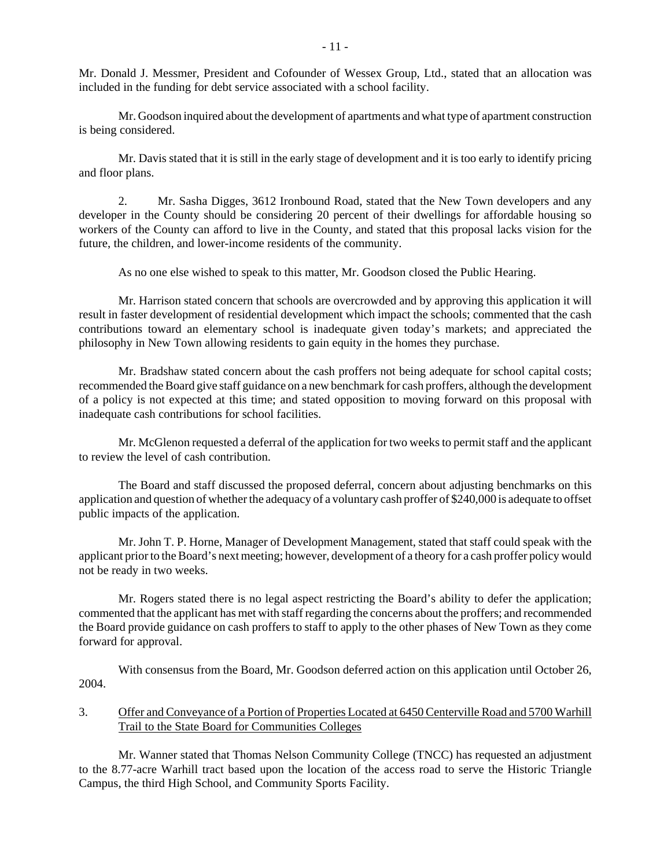Mr. Donald J. Messmer, President and Cofounder of Wessex Group, Ltd., stated that an allocation was included in the funding for debt service associated with a school facility.

Mr. Goodson inquired about the development of apartments and what type of apartment construction is being considered.

Mr. Davis stated that it is still in the early stage of development and it is too early to identify pricing and floor plans.

2. Mr. Sasha Digges, 3612 Ironbound Road, stated that the New Town developers and any developer in the County should be considering 20 percent of their dwellings for affordable housing so workers of the County can afford to live in the County, and stated that this proposal lacks vision for the future, the children, and lower-income residents of the community.

As no one else wished to speak to this matter, Mr. Goodson closed the Public Hearing.

Mr. Harrison stated concern that schools are overcrowded and by approving this application it will result in faster development of residential development which impact the schools; commented that the cash contributions toward an elementary school is inadequate given today's markets; and appreciated the philosophy in New Town allowing residents to gain equity in the homes they purchase.

Mr. Bradshaw stated concern about the cash proffers not being adequate for school capital costs; recommended the Board give staff guidance on a new benchmark for cash proffers, although the development of a policy is not expected at this time; and stated opposition to moving forward on this proposal with inadequate cash contributions for school facilities.

Mr. McGlenon requested a deferral of the application for two weeks to permit staff and the applicant to review the level of cash contribution.

The Board and staff discussed the proposed deferral, concern about adjusting benchmarks on this application and question of whether the adequacy of a voluntary cash proffer of \$240,000 is adequate to offset public impacts of the application.

Mr. John T. P. Horne, Manager of Development Management, stated that staff could speak with the applicant prior to the Board's next meeting; however, development of a theory for a cash proffer policy would not be ready in two weeks.

Mr. Rogers stated there is no legal aspect restricting the Board's ability to defer the application; commented that the applicant has met with staff regarding the concerns about the proffers; and recommended the Board provide guidance on cash proffers to staff to apply to the other phases of New Town as they come forward for approval.

With consensus from the Board, Mr. Goodson deferred action on this application until October 26, 2004.

## 3. Offer and Conveyance of a Portion of Properties Located at 6450 Centerville Road and 5700 Warhill Trail to the State Board for Communities Colleges

Mr. Wanner stated that Thomas Nelson Community College (TNCC) has requested an adjustment to the 8.77-acre Warhill tract based upon the location of the access road to serve the Historic Triangle Campus, the third High School, and Community Sports Facility.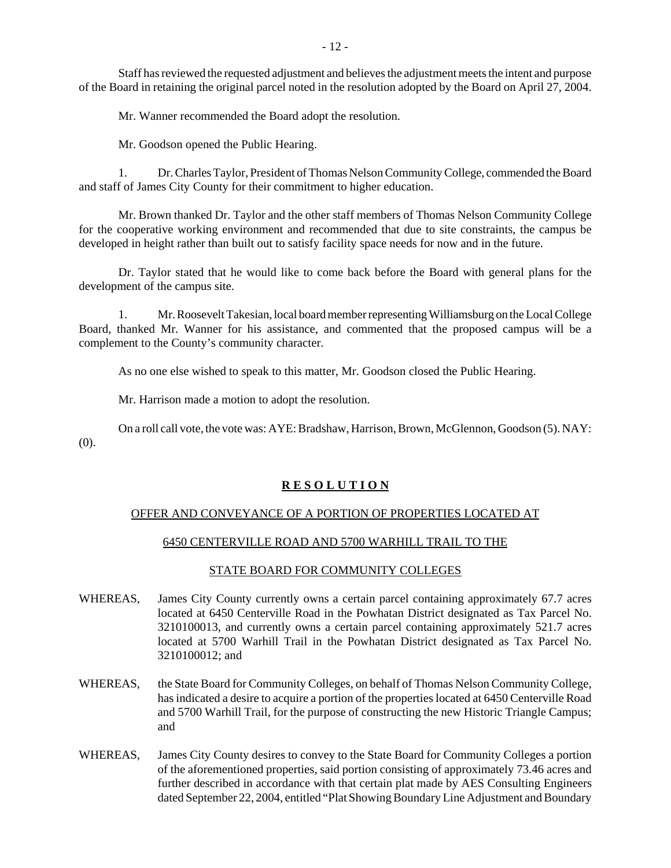Staff has reviewed the requested adjustment and believes the adjustment meets the intent and purpose of the Board in retaining the original parcel noted in the resolution adopted by the Board on April 27, 2004.

Mr. Wanner recommended the Board adopt the resolution.

Mr. Goodson opened the Public Hearing.

1. Dr. Charles Taylor, President of Thomas Nelson Community College, commended the Board and staff of James City County for their commitment to higher education.

Mr. Brown thanked Dr. Taylor and the other staff members of Thomas Nelson Community College for the cooperative working environment and recommended that due to site constraints, the campus be developed in height rather than built out to satisfy facility space needs for now and in the future.

Dr. Taylor stated that he would like to come back before the Board with general plans for the development of the campus site.

1. Mr. Roosevelt Takesian, local board member representing Williamsburg on the Local College Board, thanked Mr. Wanner for his assistance, and commented that the proposed campus will be a complement to the County's community character.

As no one else wished to speak to this matter, Mr. Goodson closed the Public Hearing.

Mr. Harrison made a motion to adopt the resolution.

On a roll call vote, the vote was: AYE: Bradshaw, Harrison, Brown, McGlennon, Goodson (5). NAY: (0).

# **R E S O L U T I O N**

#### OFFER AND CONVEYANCE OF A PORTION OF PROPERTIES LOCATED AT

# 6450 CENTERVILLE ROAD AND 5700 WARHILL TRAIL TO THE

#### STATE BOARD FOR COMMUNITY COLLEGES

- WHEREAS, James City County currently owns a certain parcel containing approximately 67.7 acres located at 6450 Centerville Road in the Powhatan District designated as Tax Parcel No. 3210100013, and currently owns a certain parcel containing approximately 521.7 acres located at 5700 Warhill Trail in the Powhatan District designated as Tax Parcel No. 3210100012; and
- WHEREAS, the State Board for Community Colleges, on behalf of Thomas Nelson Community College, has indicated a desire to acquire a portion of the properties located at 6450 Centerville Road and 5700 Warhill Trail, for the purpose of constructing the new Historic Triangle Campus; and
- WHEREAS, James City County desires to convey to the State Board for Community Colleges a portion of the aforementioned properties, said portion consisting of approximately 73.46 acres and further described in accordance with that certain plat made by AES Consulting Engineers dated September 22, 2004, entitled "Plat Showing Boundary Line Adjustment and Boundary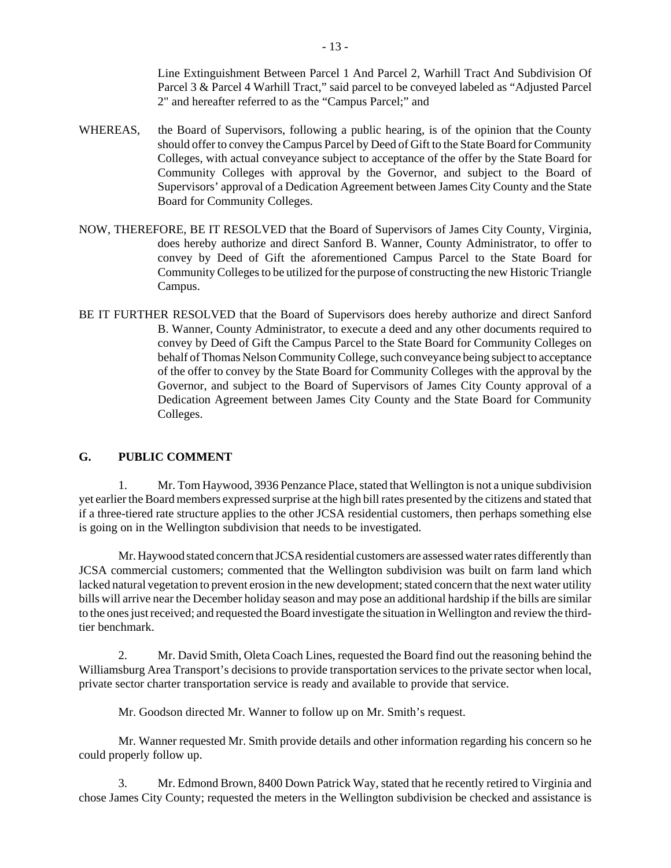Line Extinguishment Between Parcel 1 And Parcel 2, Warhill Tract And Subdivision Of Parcel 3 & Parcel 4 Warhill Tract," said parcel to be conveyed labeled as "Adjusted Parcel 2" and hereafter referred to as the "Campus Parcel;" and

- WHEREAS, the Board of Supervisors, following a public hearing, is of the opinion that the County should offer to convey the Campus Parcel by Deed of Gift to the State Board for Community Colleges, with actual conveyance subject to acceptance of the offer by the State Board for Community Colleges with approval by the Governor, and subject to the Board of Supervisors' approval of a Dedication Agreement between James City County and the State Board for Community Colleges.
- NOW, THEREFORE, BE IT RESOLVED that the Board of Supervisors of James City County, Virginia, does hereby authorize and direct Sanford B. Wanner, County Administrator, to offer to convey by Deed of Gift the aforementioned Campus Parcel to the State Board for Community Colleges to be utilized for the purpose of constructing the new Historic Triangle Campus.
- BE IT FURTHER RESOLVED that the Board of Supervisors does hereby authorize and direct Sanford B. Wanner, County Administrator, to execute a deed and any other documents required to convey by Deed of Gift the Campus Parcel to the State Board for Community Colleges on behalf of Thomas Nelson Community College, such conveyance being subject to acceptance of the offer to convey by the State Board for Community Colleges with the approval by the Governor, and subject to the Board of Supervisors of James City County approval of a Dedication Agreement between James City County and the State Board for Community Colleges.

# **G. PUBLIC COMMENT**

1. Mr. Tom Haywood, 3936 Penzance Place, stated that Wellington is not a unique subdivision yet earlier the Board members expressed surprise at the high bill rates presented by the citizens and stated that if a three-tiered rate structure applies to the other JCSA residential customers, then perhaps something else is going on in the Wellington subdivision that needs to be investigated.

Mr. Haywood stated concern that JCSA residential customers are assessed water rates differently than JCSA commercial customers; commented that the Wellington subdivision was built on farm land which lacked natural vegetation to prevent erosion in the new development; stated concern that the next water utility bills will arrive near the December holiday season and may pose an additional hardship if the bills are similar to the ones just received; and requested the Board investigate the situation in Wellington and review the thirdtier benchmark.

2. Mr. David Smith, Oleta Coach Lines, requested the Board find out the reasoning behind the Williamsburg Area Transport's decisions to provide transportation services to the private sector when local, private sector charter transportation service is ready and available to provide that service.

Mr. Goodson directed Mr. Wanner to follow up on Mr. Smith's request.

Mr. Wanner requested Mr. Smith provide details and other information regarding his concern so he could properly follow up.

3. Mr. Edmond Brown, 8400 Down Patrick Way, stated that he recently retired to Virginia and chose James City County; requested the meters in the Wellington subdivision be checked and assistance is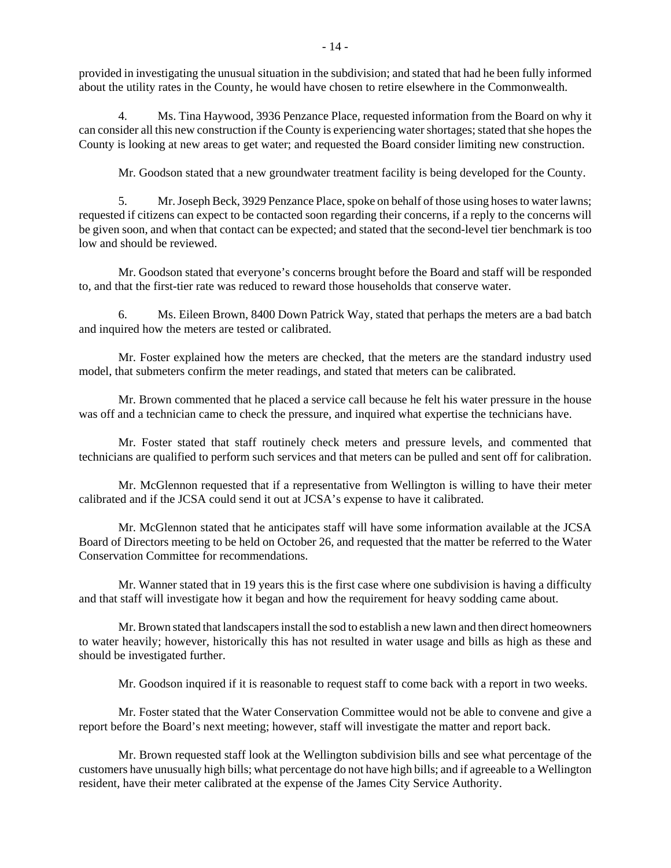provided in investigating the unusual situation in the subdivision; and stated that had he been fully informed about the utility rates in the County, he would have chosen to retire elsewhere in the Commonwealth.

4. Ms. Tina Haywood, 3936 Penzance Place, requested information from the Board on why it can consider all this new construction if the County is experiencing water shortages; stated that she hopes the County is looking at new areas to get water; and requested the Board consider limiting new construction.

Mr. Goodson stated that a new groundwater treatment facility is being developed for the County.

5. Mr. Joseph Beck, 3929 Penzance Place, spoke on behalf of those using hoses to water lawns; requested if citizens can expect to be contacted soon regarding their concerns, if a reply to the concerns will be given soon, and when that contact can be expected; and stated that the second-level tier benchmark is too low and should be reviewed.

Mr. Goodson stated that everyone's concerns brought before the Board and staff will be responded to, and that the first-tier rate was reduced to reward those households that conserve water.

6. Ms. Eileen Brown, 8400 Down Patrick Way, stated that perhaps the meters are a bad batch and inquired how the meters are tested or calibrated.

Mr. Foster explained how the meters are checked, that the meters are the standard industry used model, that submeters confirm the meter readings, and stated that meters can be calibrated.

Mr. Brown commented that he placed a service call because he felt his water pressure in the house was off and a technician came to check the pressure, and inquired what expertise the technicians have.

Mr. Foster stated that staff routinely check meters and pressure levels, and commented that technicians are qualified to perform such services and that meters can be pulled and sent off for calibration.

Mr. McGlennon requested that if a representative from Wellington is willing to have their meter calibrated and if the JCSA could send it out at JCSA's expense to have it calibrated.

Mr. McGlennon stated that he anticipates staff will have some information available at the JCSA Board of Directors meeting to be held on October 26, and requested that the matter be referred to the Water Conservation Committee for recommendations.

Mr. Wanner stated that in 19 years this is the first case where one subdivision is having a difficulty and that staff will investigate how it began and how the requirement for heavy sodding came about.

Mr. Brown stated that landscapers install the sod to establish a new lawn and then direct homeowners to water heavily; however, historically this has not resulted in water usage and bills as high as these and should be investigated further.

Mr. Goodson inquired if it is reasonable to request staff to come back with a report in two weeks.

Mr. Foster stated that the Water Conservation Committee would not be able to convene and give a report before the Board's next meeting; however, staff will investigate the matter and report back.

Mr. Brown requested staff look at the Wellington subdivision bills and see what percentage of the customers have unusually high bills; what percentage do not have high bills; and if agreeable to a Wellington resident, have their meter calibrated at the expense of the James City Service Authority.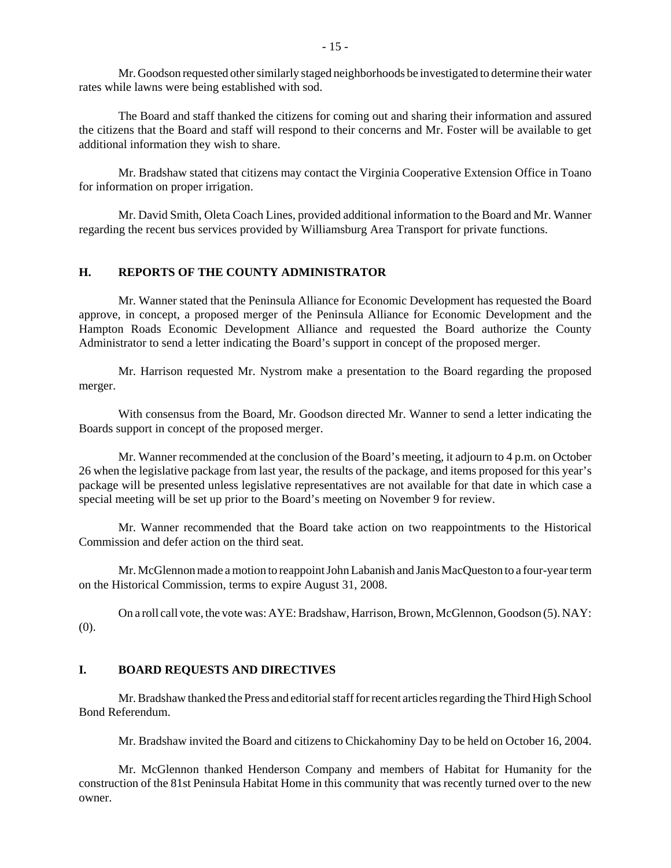Mr. Goodson requested other similarly staged neighborhoods be investigated to determine their water rates while lawns were being established with sod.

The Board and staff thanked the citizens for coming out and sharing their information and assured the citizens that the Board and staff will respond to their concerns and Mr. Foster will be available to get additional information they wish to share.

Mr. Bradshaw stated that citizens may contact the Virginia Cooperative Extension Office in Toano for information on proper irrigation.

Mr. David Smith, Oleta Coach Lines, provided additional information to the Board and Mr. Wanner regarding the recent bus services provided by Williamsburg Area Transport for private functions.

# **H. REPORTS OF THE COUNTY ADMINISTRATOR**

Mr. Wanner stated that the Peninsula Alliance for Economic Development has requested the Board approve, in concept, a proposed merger of the Peninsula Alliance for Economic Development and the Hampton Roads Economic Development Alliance and requested the Board authorize the County Administrator to send a letter indicating the Board's support in concept of the proposed merger.

Mr. Harrison requested Mr. Nystrom make a presentation to the Board regarding the proposed merger.

With consensus from the Board, Mr. Goodson directed Mr. Wanner to send a letter indicating the Boards support in concept of the proposed merger.

Mr. Wanner recommended at the conclusion of the Board's meeting, it adjourn to 4 p.m. on October 26 when the legislative package from last year, the results of the package, and items proposed for this year's package will be presented unless legislative representatives are not available for that date in which case a special meeting will be set up prior to the Board's meeting on November 9 for review.

Mr. Wanner recommended that the Board take action on two reappointments to the Historical Commission and defer action on the third seat.

Mr. McGlennon made a motion to reappoint John Labanish and Janis MacQueston to a four-year term on the Historical Commission, terms to expire August 31, 2008.

On a roll call vote, the vote was: AYE: Bradshaw, Harrison, Brown, McGlennon, Goodson (5). NAY: (0).

## **I. BOARD REQUESTS AND DIRECTIVES**

Mr. Bradshaw thanked the Press and editorial staff for recent articles regarding the Third High School Bond Referendum.

Mr. Bradshaw invited the Board and citizens to Chickahominy Day to be held on October 16, 2004.

Mr. McGlennon thanked Henderson Company and members of Habitat for Humanity for the construction of the 81st Peninsula Habitat Home in this community that was recently turned over to the new owner.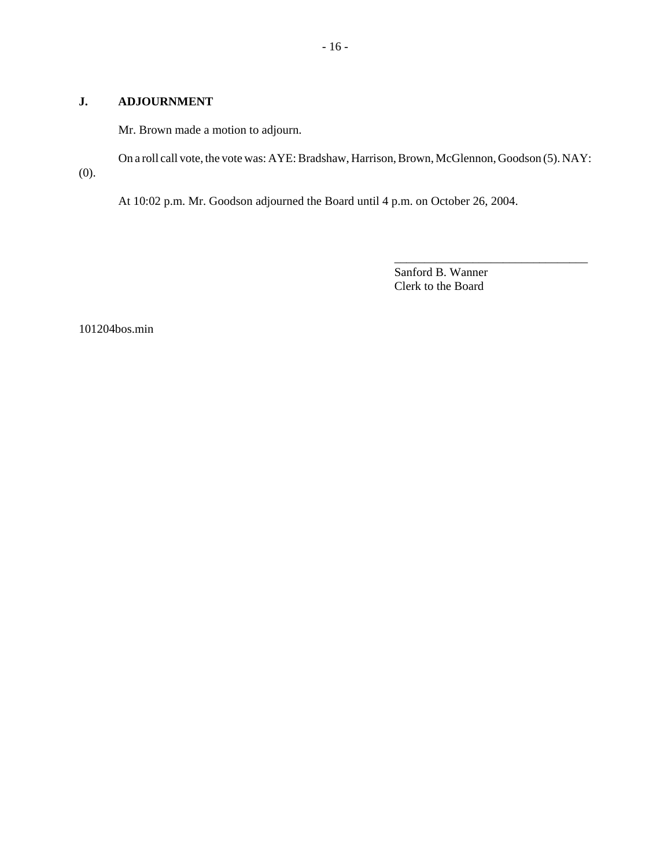# **J. ADJOURNMENT**

Mr. Brown made a motion to adjourn.

On a roll call vote, the vote was: AYE: Bradshaw, Harrison, Brown, McGlennon, Goodson (5). NAY: (0).

At 10:02 p.m. Mr. Goodson adjourned the Board until 4 p.m. on October 26, 2004.

Sanford B. Wanner Clerk to the Board

\_\_\_\_\_\_\_\_\_\_\_\_\_\_\_\_\_\_\_\_\_\_\_\_\_\_\_\_\_\_\_\_

101204bos.min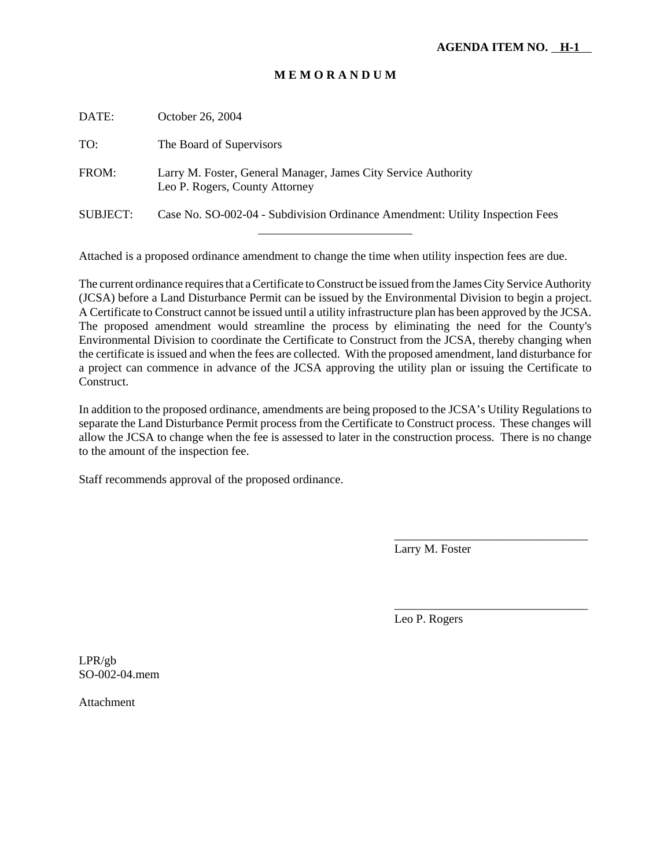# **M E M O R A N D U M**

| DATE:           | October 26, 2004                                                                                 |
|-----------------|--------------------------------------------------------------------------------------------------|
| TO:             | The Board of Supervisors                                                                         |
| FROM:           | Larry M. Foster, General Manager, James City Service Authority<br>Leo P. Rogers, County Attorney |
| <b>SUBJECT:</b> | Case No. SO-002-04 - Subdivision Ordinance Amendment: Utility Inspection Fees                    |
|                 |                                                                                                  |

Attached is a proposed ordinance amendment to change the time when utility inspection fees are due.

The current ordinance requires that a Certificate to Construct be issued from the James City Service Authority (JCSA) before a Land Disturbance Permit can be issued by the Environmental Division to begin a project. A Certificate to Construct cannot be issued until a utility infrastructure plan has been approved by the JCSA. The proposed amendment would streamline the process by eliminating the need for the County's Environmental Division to coordinate the Certificate to Construct from the JCSA, thereby changing when the certificate is issued and when the fees are collected. With the proposed amendment, land disturbance for a project can commence in advance of the JCSA approving the utility plan or issuing the Certificate to Construct.

In addition to the proposed ordinance, amendments are being proposed to the JCSA's Utility Regulations to separate the Land Disturbance Permit process from the Certificate to Construct process. These changes will allow the JCSA to change when the fee is assessed to later in the construction process. There is no change to the amount of the inspection fee.

Staff recommends approval of the proposed ordinance.

Larry M. Foster

\_\_\_\_\_\_\_\_\_\_\_\_\_\_\_\_\_\_\_\_\_\_\_\_\_\_\_\_\_\_\_\_

\_\_\_\_\_\_\_\_\_\_\_\_\_\_\_\_\_\_\_\_\_\_\_\_\_\_\_\_\_\_\_\_

Leo P. Rogers

LPR/gb SO-002-04.mem

Attachment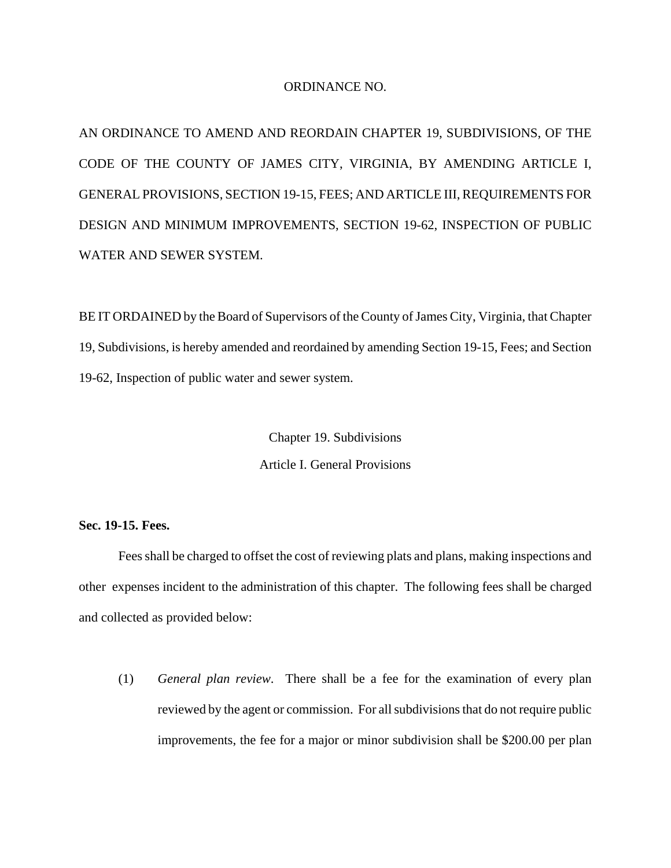## ORDINANCE NO.

AN ORDINANCE TO AMEND AND REORDAIN CHAPTER 19, SUBDIVISIONS, OF THE CODE OF THE COUNTY OF JAMES CITY, VIRGINIA, BY AMENDING ARTICLE I, GENERAL PROVISIONS, SECTION 19-15, FEES; AND ARTICLE III, REQUIREMENTS FOR DESIGN AND MINIMUM IMPROVEMENTS, SECTION 19-62, INSPECTION OF PUBLIC WATER AND SEWER SYSTEM.

BE IT ORDAINED by the Board of Supervisors of the County of James City, Virginia, that Chapter 19, Subdivisions, is hereby amended and reordained by amending Section 19-15, Fees; and Section 19-62, Inspection of public water and sewer system.

> Chapter 19. Subdivisions Article I. General Provisions

**Sec. 19-15. Fees.**

Fees shall be charged to offset the cost of reviewing plats and plans, making inspections and other expenses incident to the administration of this chapter. The following fees shall be charged and collected as provided below:

(1) *General plan review*. There shall be a fee for the examination of every plan reviewed by the agent or commission. For all subdivisions that do not require public improvements, the fee for a major or minor subdivision shall be \$200.00 per plan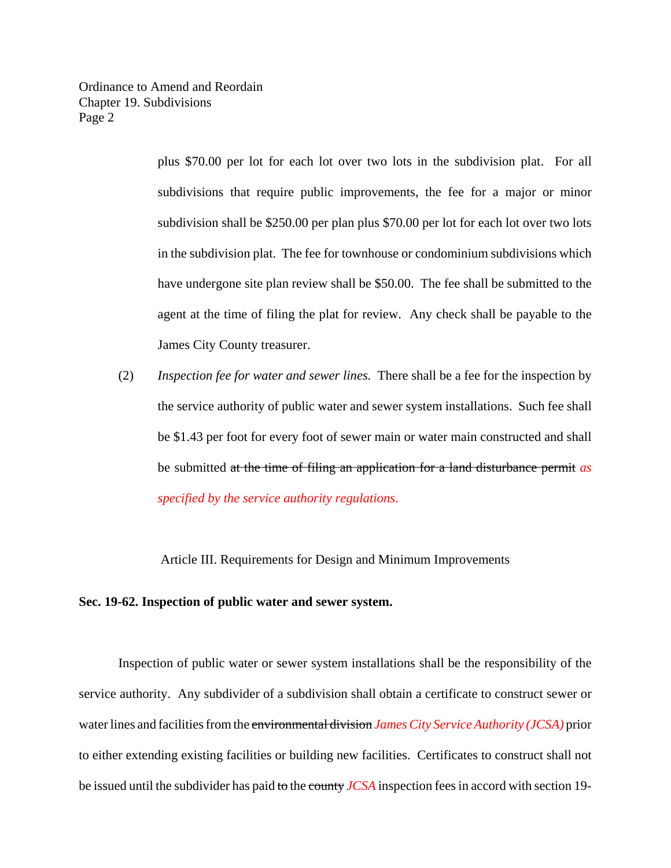Ordinance to Amend and Reordain Chapter 19. Subdivisions Page 2

> plus \$70.00 per lot for each lot over two lots in the subdivision plat. For all subdivisions that require public improvements, the fee for a major or minor subdivision shall be \$250.00 per plan plus \$70.00 per lot for each lot over two lots in the subdivision plat. The fee for townhouse or condominium subdivisions which have undergone site plan review shall be \$50.00. The fee shall be submitted to the agent at the time of filing the plat for review. Any check shall be payable to the James City County treasurer.

(2) *Inspection fee for water and sewer lines.* There shall be a fee for the inspection by the service authority of public water and sewer system installations. Such fee shall be \$1.43 per foot for every foot of sewer main or water main constructed and shall be submitted at the time of filing an application for a land disturbance permit *as specified by the service authority regulations.*

Article III. Requirements for Design and Minimum Improvements

# **Sec. 19-62. Inspection of public water and sewer system.**

Inspection of public water or sewer system installations shall be the responsibility of the service authority. Any subdivider of a subdivision shall obtain a certificate to construct sewer or water lines and facilities from the environmental division *James City Service Authority (JCSA)* prior to either extending existing facilities or building new facilities. Certificates to construct shall not be issued until the subdivider has paid to the county *JCSA* inspection fees in accord with section 19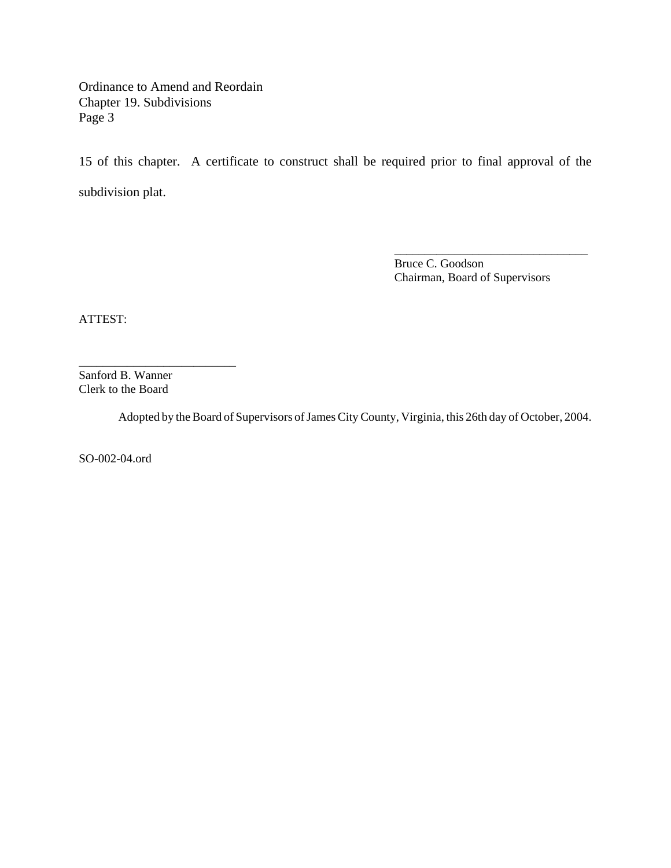Ordinance to Amend and Reordain Chapter 19. Subdivisions Page 3

15 of this chapter. A certificate to construct shall be required prior to final approval of the subdivision plat.

> Bruce C. Goodson Chairman, Board of Supervisors

\_\_\_\_\_\_\_\_\_\_\_\_\_\_\_\_\_\_\_\_\_\_\_\_\_\_\_\_\_\_\_\_

ATTEST:

Sanford B. Wanner Clerk to the Board

\_\_\_\_\_\_\_\_\_\_\_\_\_\_\_\_\_\_\_\_\_\_\_\_\_\_

Adopted by the Board of Supervisors of James City County, Virginia, this 26th day of October, 2004.

SO-002-04.ord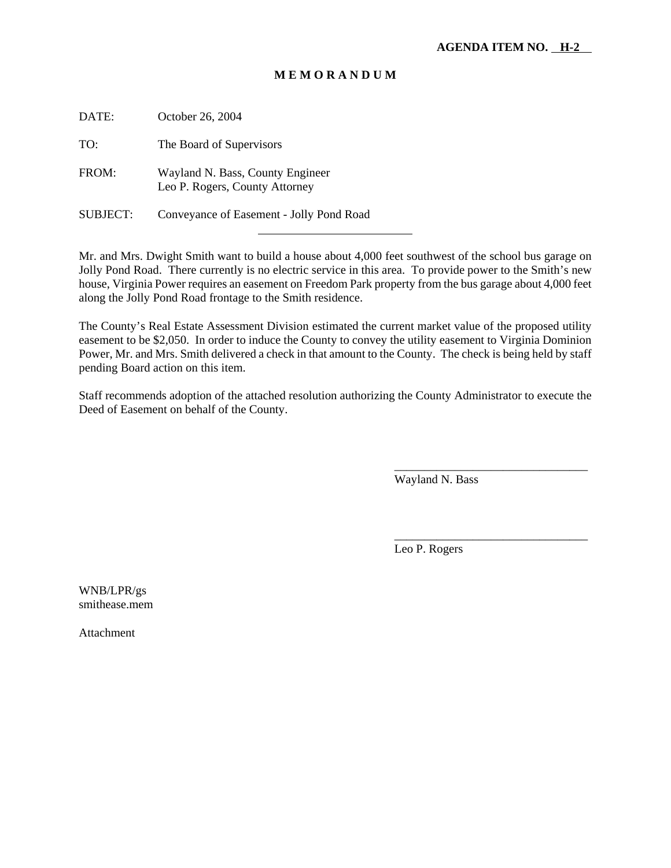# **M E M O R A N D U M**

| DATE:           | October 26, 2004                                                   |
|-----------------|--------------------------------------------------------------------|
| TO:             | The Board of Supervisors                                           |
| FROM:           | Wayland N. Bass, County Engineer<br>Leo P. Rogers, County Attorney |
| <b>SUBJECT:</b> | Conveyance of Easement - Jolly Pond Road                           |

l

Mr. and Mrs. Dwight Smith want to build a house about 4,000 feet southwest of the school bus garage on Jolly Pond Road. There currently is no electric service in this area. To provide power to the Smith's new house, Virginia Power requires an easement on Freedom Park property from the bus garage about 4,000 feet along the Jolly Pond Road frontage to the Smith residence.

The County's Real Estate Assessment Division estimated the current market value of the proposed utility easement to be \$2,050. In order to induce the County to convey the utility easement to Virginia Dominion Power, Mr. and Mrs. Smith delivered a check in that amount to the County. The check is being held by staff pending Board action on this item.

Staff recommends adoption of the attached resolution authorizing the County Administrator to execute the Deed of Easement on behalf of the County.

Wayland N. Bass

\_\_\_\_\_\_\_\_\_\_\_\_\_\_\_\_\_\_\_\_\_\_\_\_\_\_\_\_\_\_\_\_

\_\_\_\_\_\_\_\_\_\_\_\_\_\_\_\_\_\_\_\_\_\_\_\_\_\_\_\_\_\_\_\_

Leo P. Rogers

WNB/LPR/gs smithease.mem

Attachment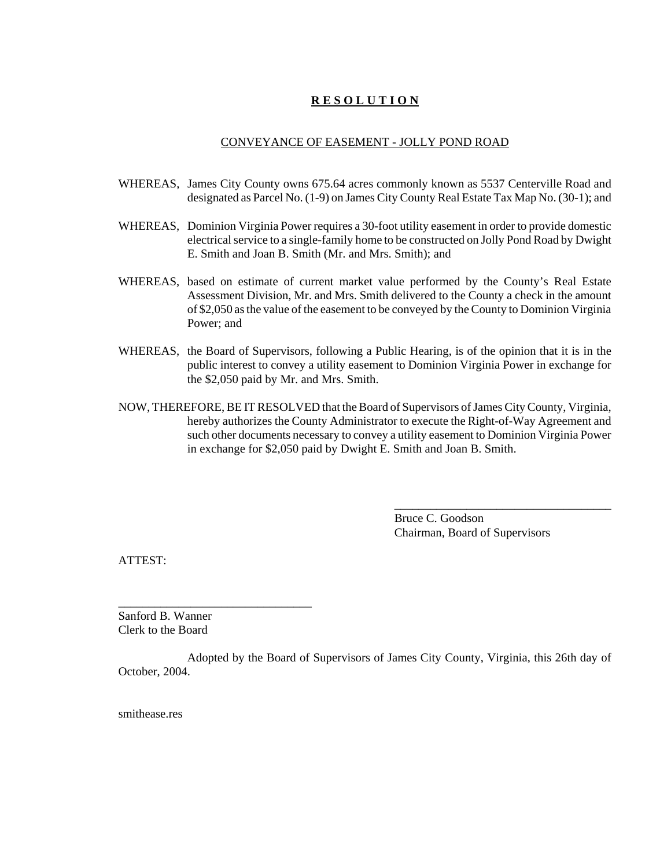# **R E S O L U T I O N**

## CONVEYANCE OF EASEMENT - JOLLY POND ROAD

- WHEREAS, James City County owns 675.64 acres commonly known as 5537 Centerville Road and designated as Parcel No. (1-9) on James City County Real Estate Tax Map No. (30-1); and
- WHEREAS, Dominion Virginia Power requires a 30-foot utility easement in order to provide domestic electrical service to a single-family home to be constructed on Jolly Pond Road by Dwight E. Smith and Joan B. Smith (Mr. and Mrs. Smith); and
- WHEREAS, based on estimate of current market value performed by the County's Real Estate Assessment Division, Mr. and Mrs. Smith delivered to the County a check in the amount of \$2,050 as the value of the easement to be conveyed by the County to Dominion Virginia Power; and
- WHEREAS, the Board of Supervisors, following a Public Hearing, is of the opinion that it is in the public interest to convey a utility easement to Dominion Virginia Power in exchange for the \$2,050 paid by Mr. and Mrs. Smith.
- NOW, THEREFORE, BE IT RESOLVED that the Board of Supervisors of James City County, Virginia, hereby authorizes the County Administrator to execute the Right-of-Way Agreement and such other documents necessary to convey a utility easement to Dominion Virginia Power in exchange for \$2,050 paid by Dwight E. Smith and Joan B. Smith.

Bruce C. Goodson Chairman, Board of Supervisors

\_\_\_\_\_\_\_\_\_\_\_\_\_\_\_\_\_\_\_\_\_\_\_\_\_\_\_\_\_\_\_\_\_\_\_\_

ATTEST:

Sanford B. Wanner Clerk to the Board

\_\_\_\_\_\_\_\_\_\_\_\_\_\_\_\_\_\_\_\_\_\_\_\_\_\_\_\_\_\_\_\_

Adopted by the Board of Supervisors of James City County, Virginia, this 26th day of October, 2004.

smithease.res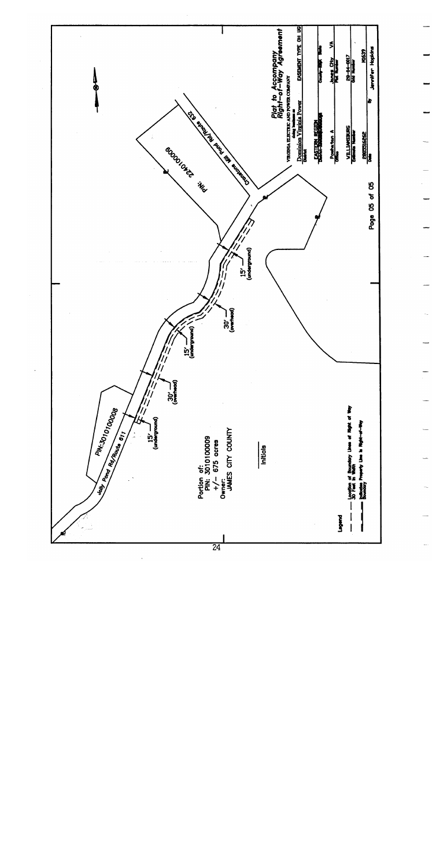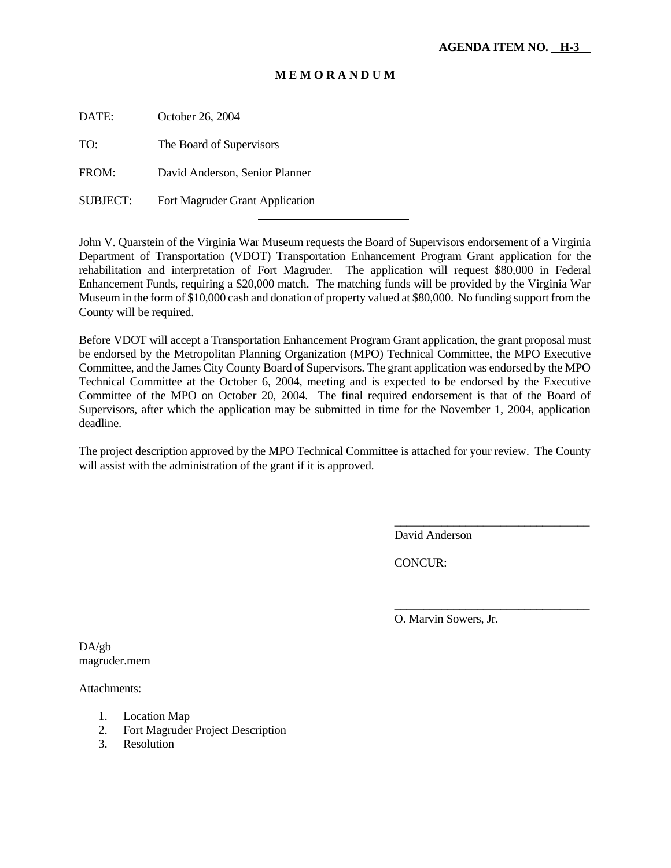# **M E M O R A N D U M**

DATE: October 26, 2004

TO: The Board of Supervisors

FROM: David Anderson, Senior Planner

SUBJECT: Fort Magruder Grant Application

l

John V. Quarstein of the Virginia War Museum requests the Board of Supervisors endorsement of a Virginia Department of Transportation (VDOT) Transportation Enhancement Program Grant application for the rehabilitation and interpretation of Fort Magruder. The application will request \$80,000 in Federal Enhancement Funds, requiring a \$20,000 match. The matching funds will be provided by the Virginia War Museum in the form of \$10,000 cash and donation of property valued at \$80,000. No funding support from the County will be required.

Before VDOT will accept a Transportation Enhancement Program Grant application, the grant proposal must be endorsed by the Metropolitan Planning Organization (MPO) Technical Committee, the MPO Executive Committee, and the James City County Board of Supervisors. The grant application was endorsed by the MPO Technical Committee at the October 6, 2004, meeting and is expected to be endorsed by the Executive Committee of the MPO on October 20, 2004. The final required endorsement is that of the Board of Supervisors, after which the application may be submitted in time for the November 1, 2004, application deadline.

The project description approved by the MPO Technical Committee is attached for your review. The County will assist with the administration of the grant if it is approved.

David Anderson

\_\_\_\_\_\_\_\_\_\_\_\_\_\_\_\_\_\_\_\_\_\_\_\_\_\_\_\_\_\_\_\_\_

\_\_\_\_\_\_\_\_\_\_\_\_\_\_\_\_\_\_\_\_\_\_\_\_\_\_\_\_\_\_\_\_\_

CONCUR:

O. Marvin Sowers, Jr.

DA/gb magruder.mem

Attachments:

- 1. Location Map
- 2. Fort Magruder Project Description
- 3. Resolution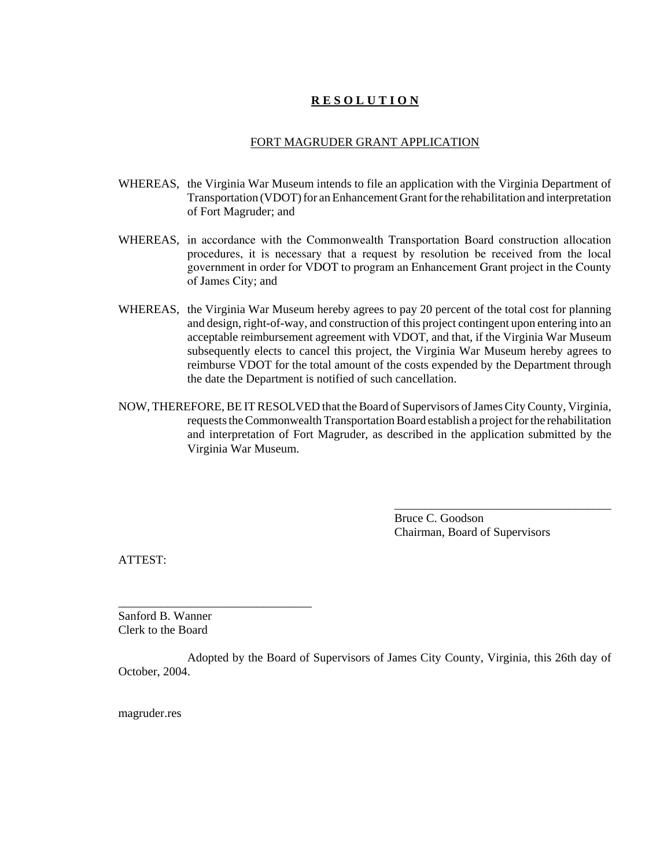# **R E S O L U T I O N**

## FORT MAGRUDER GRANT APPLICATION

- WHEREAS, the Virginia War Museum intends to file an application with the Virginia Department of Transportation (VDOT) for an Enhancement Grant for the rehabilitation and interpretation of Fort Magruder; and
- WHEREAS, in accordance with the Commonwealth Transportation Board construction allocation procedures, it is necessary that a request by resolution be received from the local government in order for VDOT to program an Enhancement Grant project in the County of James City; and
- WHEREAS, the Virginia War Museum hereby agrees to pay 20 percent of the total cost for planning and design, right-of-way, and construction of this project contingent upon entering into an acceptable reimbursement agreement with VDOT, and that, if the Virginia War Museum subsequently elects to cancel this project, the Virginia War Museum hereby agrees to reimburse VDOT for the total amount of the costs expended by the Department through the date the Department is notified of such cancellation.
- NOW, THEREFORE, BE IT RESOLVED that the Board of Supervisors of James City County, Virginia, requests the Commonwealth Transportation Board establish a project for the rehabilitation and interpretation of Fort Magruder, as described in the application submitted by the Virginia War Museum.

Bruce C. Goodson Chairman, Board of Supervisors

\_\_\_\_\_\_\_\_\_\_\_\_\_\_\_\_\_\_\_\_\_\_\_\_\_\_\_\_\_\_\_\_\_\_\_\_

ATTEST:

Sanford B. Wanner Clerk to the Board

\_\_\_\_\_\_\_\_\_\_\_\_\_\_\_\_\_\_\_\_\_\_\_\_\_\_\_\_\_\_\_\_

Adopted by the Board of Supervisors of James City County, Virginia, this 26th day of October, 2004.

magruder.res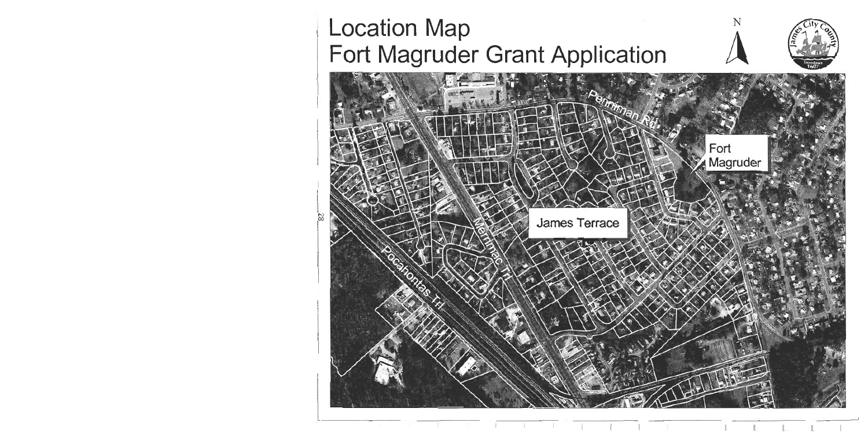# **Location Map** Fort Magruder Grant Application

ಜ



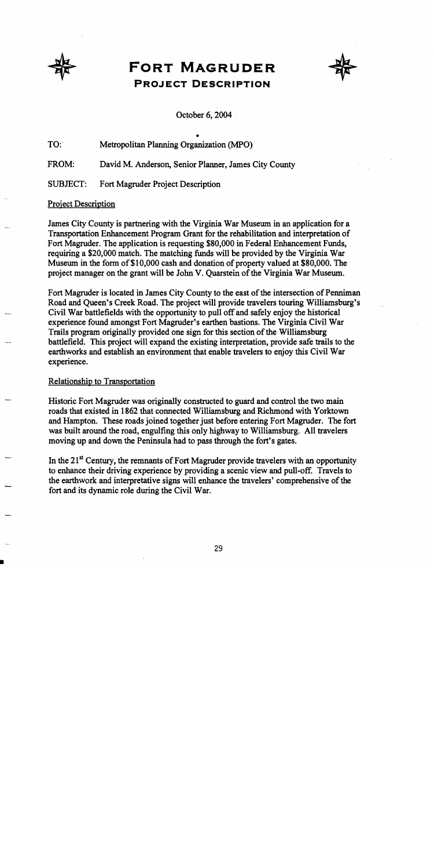

# **FORT MAGRUDER PROJECT DESCRIPTION**



## October 6, 2004

TO: Metropolitan Planning Organization (MPO)

FROM: David M. Anderson, Senior Planner, James City County

**SUBJECT:** Fort Magruder Project Description

# **Project Description**

James City County is partnering with the Virginia War Museum in an application for a Transportation Enhancement Program Grant for the rehabilitation and interpretation of Fort Magruder. The application is requesting \$80,000 in Federal Enhancement Funds, requiring a \$20,000 match. The matching funds will be provided by the Virginia War Museum in the form of \$10,000 cash and donation of property valued at \$80,000. The project manager on the grant will be John V. Quarstein of the Virginia War Museum.

Fort Magruder is located in James City County to the east of the intersection of Penniman Road and Queen's Creek Road. The project will provide travelers touring Williamsburg's Civil War battlefields with the opportunity to pull off and safely enjoy the historical experience found amongst Fort Magruder's earthen bastions. The Virginia Civil War Trails program originally provided one sign for this section of the Williamsburg battlefield. This project will expand the existing interpretation, provide safe trails to the earthworks and establish an environment that enable travelers to enjoy this Civil War experience.

#### Relationship to Transportation

Historic Fort Magruder was originally constructed to guard and control the two main roads that existed in 1862 that connected Williamsburg and Richmond with Yorktown and Hampton. These roads joined together just before entering Fort Magruder. The fort was built around the road, engulfing this only highway to Williamsburg. All travelers moving up and down the Peninsula had to pass through the fort's gates.

In the 21<sup>st</sup> Century, the remnants of Fort Magruder provide travelers with an opportunity to enhance their driving experience by providing a scenic view and pull-off. Travels to the earthwork and interpretative signs will enhance the travelers' comprehensive of the fort and its dynamic role during the Civil War.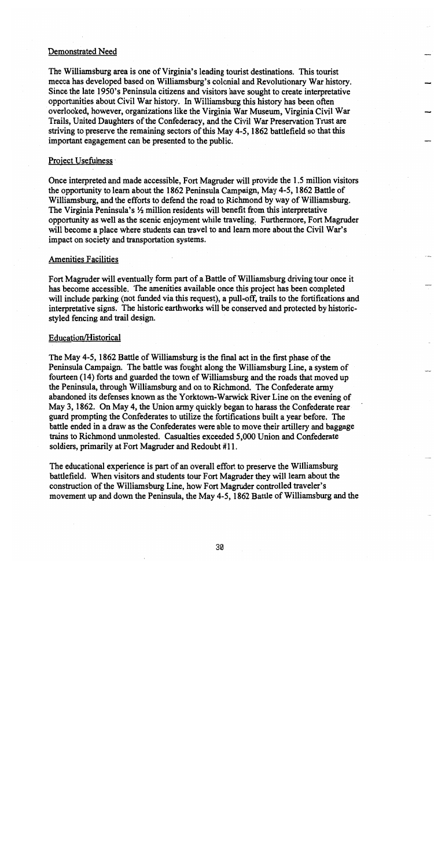## **Demonstrated Need**

The Williamsburg area is one of Virginia's leading tourist destinations. This tourist mecca has developed based on Williamsburg's colonial and Revolutionary War history. Since the late 1950's Peninsula citizens and visitors have sought to create interpretative opportunities about Civil War history. In Williamsburg this history has been often overlooked, however, organizations like the Virginia War Museum, Virginia Civil War Trails, United Daughters of the Confederacy, and the Civil War Preservation Trust are striving to preserve the remaining sectors of this May 4-5, 1862 battlefield so that this important engagement can be presented to the public.

## Project Usefulness

Once interpreted and made accessible, Fort Magruder will provide the 1.5 million visitors the opportunity to learn about the 1862 Peninsula Campaign, May 4-5, 1862 Battle of Williamsburg, and the efforts to defend the road to Richmond by way of Williamsburg. The Virginia Peninsula's 1/2 million residents will benefit from this interpretative opportunity as well as the scenic enjoyment while traveling. Furthermore, Fort Magruder will become a place where students can travel to and learn more about the Civil War's impact on society and transportation systems.

## **Amenities Facilities**

Fort Magruder will eventually form part of a Battle of Williamsburg driving tour once it has become accessible. The amenities available once this project has been completed will include parking (not funded via this request), a pull-off, trails to the fortifications and interpretative signs. The historic earthworks will be conserved and protected by historicstyled fencing and trail design.

# Education/Historical

The May 4-5, 1862 Battle of Williamsburg is the final act in the first phase of the Peninsula Campaign. The battle was fought along the Williamsburg Line, a system of fourteen (14) forts and guarded the town of Williamsburg and the roads that moved up the Peninsula, through Williamsburg and on to Richmond. The Confederate army abandoned its defenses known as the Yorktown-Warwick River Line on the evening of May 3, 1862. On May 4, the Union army quickly began to harass the Confederate rear guard prompting the Confederates to utilize the fortifications built a year before. The battle ended in a draw as the Confederates were able to move their artillery and baggage trains to Richmond unmolested. Casualties exceeded 5,000 Union and Confederate soldiers, primarily at Fort Magruder and Redoubt #11.

The educational experience is part of an overall effort to preserve the Williamsburg battlefield. When visitors and students tour Fort Magruder they will learn about the construction of the Williamsburg Line, how Fort Magruder controlled traveler's movement up and down the Peninsula, the May 4-5, 1862 Battle of Williamsburg and the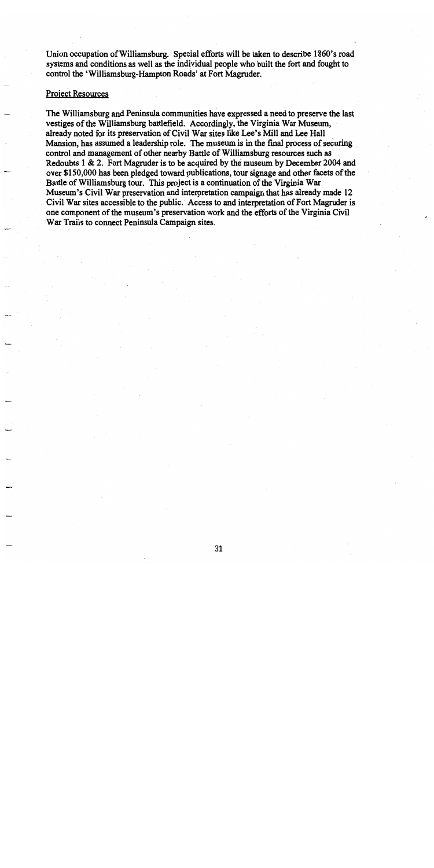Union occupation of Williamsburg. Special efforts will be taken to describe 1860's road systems and conditions as well as the individual people who built the fort and fought to control the 'Williamsburg-Hampton Roads' at Fort Magruder.

## **Project Resources**

The Williamsburg and Peninsula communities have expressed a need to preserve the last vestiges of the Williamsburg battlefield. Accordingly, the Virginia War Museum, already noted for its preservation of Civil War sites like Lee's Mill and Lee Hall Mansion, has assumed a leadership role. The museum is in the final process of securing control and management of other nearby Battle of Williamsburg resources such as Redoubts 1 & 2. Fort Magruder is to be acquired by the museum by December 2004 and over \$150,000 has been pledged toward publications, tour signage and other facets of the Battle of Williamsburg tour. This project is a continuation of the Virginia War Museum's Civil War preservation and interpretation campaign that has already made 12 Civil War sites accessible to the public. Access to and interpretation of Fort Magruder is one component of the museum's preservation work and the efforts of the Virginia Civil War Trails to connect Peninsula Campaign sites.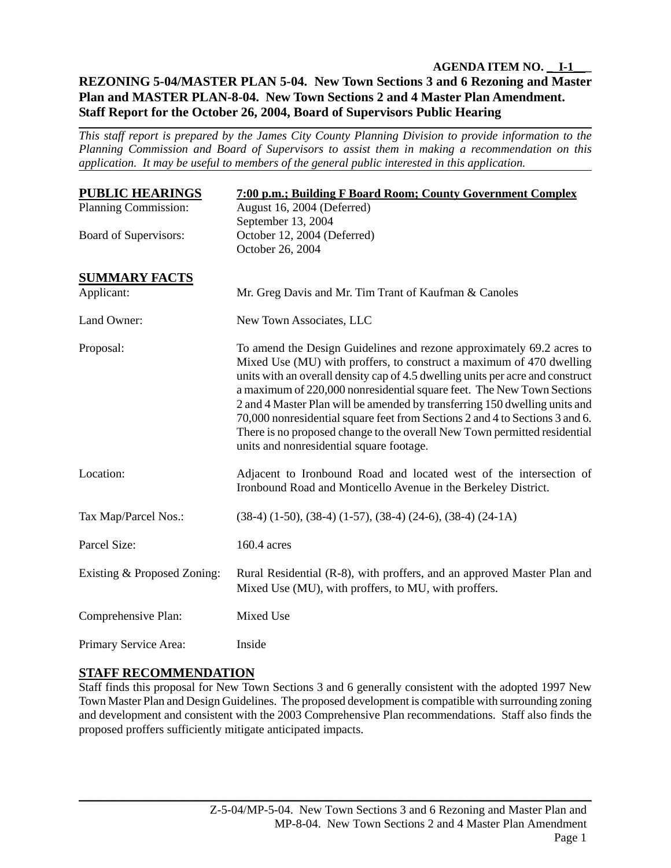# **AGENDA ITEM NO. \_ I-1\_\_\_ REZONING 5-04/MASTER PLAN 5-04. New Town Sections 3 and 6 Rezoning and Master Plan and MASTER PLAN-8-04. New Town Sections 2 and 4 Master Plan Amendment. Staff Report for the October 26, 2004, Board of Supervisors Public Hearing**

*This staff report is prepared by the James City County Planning Division to provide information to the Planning Commission and Board of Supervisors to assist them in making a recommendation on this application. It may be useful to members of the general public interested in this application.* 

| <b>PUBLIC HEARINGS</b>      | 7:00 p.m.; Building F Board Room; County Government Complex                                                                                                                                                                                                                                                                                                                                                                                                                                                                                                                                      |
|-----------------------------|--------------------------------------------------------------------------------------------------------------------------------------------------------------------------------------------------------------------------------------------------------------------------------------------------------------------------------------------------------------------------------------------------------------------------------------------------------------------------------------------------------------------------------------------------------------------------------------------------|
| Planning Commission:        | August 16, 2004 (Deferred)                                                                                                                                                                                                                                                                                                                                                                                                                                                                                                                                                                       |
|                             | September 13, 2004                                                                                                                                                                                                                                                                                                                                                                                                                                                                                                                                                                               |
| Board of Supervisors:       | October 12, 2004 (Deferred)<br>October 26, 2004                                                                                                                                                                                                                                                                                                                                                                                                                                                                                                                                                  |
|                             |                                                                                                                                                                                                                                                                                                                                                                                                                                                                                                                                                                                                  |
| <b>SUMMARY FACTS</b>        |                                                                                                                                                                                                                                                                                                                                                                                                                                                                                                                                                                                                  |
| Applicant:                  | Mr. Greg Davis and Mr. Tim Trant of Kaufman & Canoles                                                                                                                                                                                                                                                                                                                                                                                                                                                                                                                                            |
| Land Owner:                 | New Town Associates, LLC                                                                                                                                                                                                                                                                                                                                                                                                                                                                                                                                                                         |
| Proposal:                   | To amend the Design Guidelines and rezone approximately 69.2 acres to<br>Mixed Use (MU) with proffers, to construct a maximum of 470 dwelling<br>units with an overall density cap of 4.5 dwelling units per acre and construct<br>a maximum of 220,000 nonresidential square feet. The New Town Sections<br>2 and 4 Master Plan will be amended by transferring 150 dwelling units and<br>70,000 nonresidential square feet from Sections 2 and 4 to Sections 3 and 6.<br>There is no proposed change to the overall New Town permitted residential<br>units and nonresidential square footage. |
| Location:                   | Adjacent to Ironbound Road and located west of the intersection of<br>Ironbound Road and Monticello Avenue in the Berkeley District.                                                                                                                                                                                                                                                                                                                                                                                                                                                             |
| Tax Map/Parcel Nos.:        | $(38-4)$ $(1-50)$ , $(38-4)$ $(1-57)$ , $(38-4)$ $(24-6)$ , $(38-4)$ $(24-1)$                                                                                                                                                                                                                                                                                                                                                                                                                                                                                                                    |
| Parcel Size:                | 160.4 acres                                                                                                                                                                                                                                                                                                                                                                                                                                                                                                                                                                                      |
| Existing & Proposed Zoning: | Rural Residential (R-8), with proffers, and an approved Master Plan and<br>Mixed Use (MU), with proffers, to MU, with proffers.                                                                                                                                                                                                                                                                                                                                                                                                                                                                  |
| Comprehensive Plan:         | Mixed Use                                                                                                                                                                                                                                                                                                                                                                                                                                                                                                                                                                                        |
| Primary Service Area:       | Inside                                                                                                                                                                                                                                                                                                                                                                                                                                                                                                                                                                                           |

# **STAFF RECOMMENDATION**

Staff finds this proposal for New Town Sections 3 and 6 generally consistent with the adopted 1997 New Town Master Plan and Design Guidelines. The proposed development is compatible with surrounding zoning and development and consistent with the 2003 Comprehensive Plan recommendations. Staff also finds the proposed proffers sufficiently mitigate anticipated impacts.

\_\_\_\_\_\_\_\_\_\_\_\_\_\_\_\_\_\_\_\_\_\_\_\_\_\_\_\_\_\_\_\_\_\_\_\_\_\_\_\_\_\_\_\_\_\_\_\_\_\_\_\_\_\_\_\_\_\_\_\_\_\_\_\_\_\_\_\_\_\_\_\_\_\_\_\_\_\_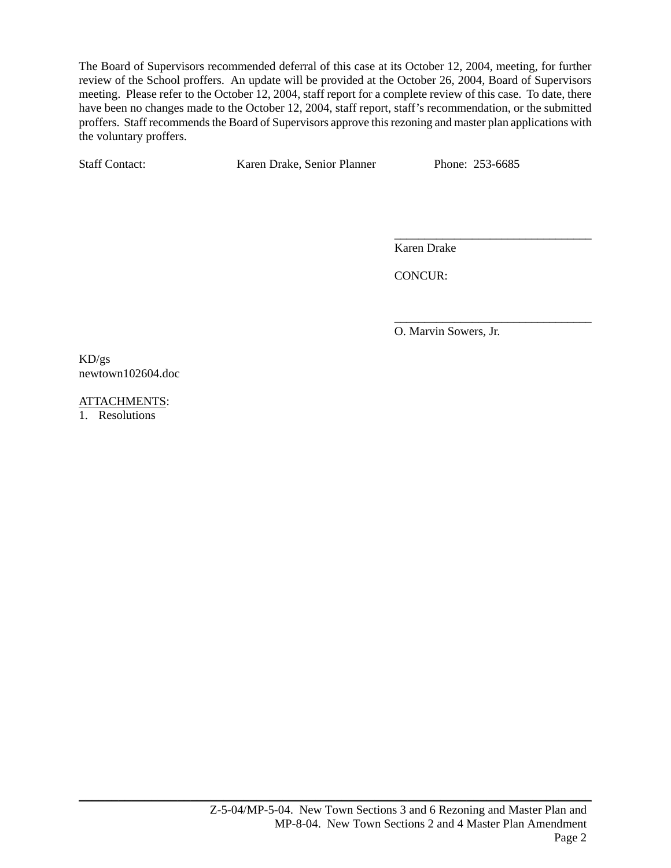The Board of Supervisors recommended deferral of this case at its October 12, 2004, meeting, for further review of the School proffers. An update will be provided at the October 26, 2004, Board of Supervisors meeting. Please refer to the October 12, 2004, staff report for a complete review of this case. To date, there have been no changes made to the October 12, 2004, staff report, staff's recommendation, or the submitted proffers. Staff recommends the Board of Supervisors approve this rezoning and master plan applications with the voluntary proffers.

 $\overline{\phantom{a}}$  , which is a set of the contract of the contract of the contract of the contract of the contract of the contract of the contract of the contract of the contract of the contract of the contract of the contract

Staff Contact: Karen Drake, Senior Planner Phone: 253-6685

Karen Drake

CONCUR:

O. Marvin Sowers, Jr.

\_\_\_\_\_\_\_\_\_\_\_\_\_\_\_\_\_\_\_\_\_\_\_\_\_\_\_\_\_\_\_\_\_

KD/gs newtown102604.doc

ATTACHMENTS:

1. Resolutions

\_\_\_\_\_\_\_\_\_\_\_\_\_\_\_\_\_\_\_\_\_\_\_\_\_\_\_\_\_\_\_\_\_\_\_\_\_\_\_\_\_\_\_\_\_\_\_\_\_\_\_\_\_\_\_\_\_\_\_\_\_\_\_\_\_\_\_\_\_\_\_\_\_\_\_\_\_\_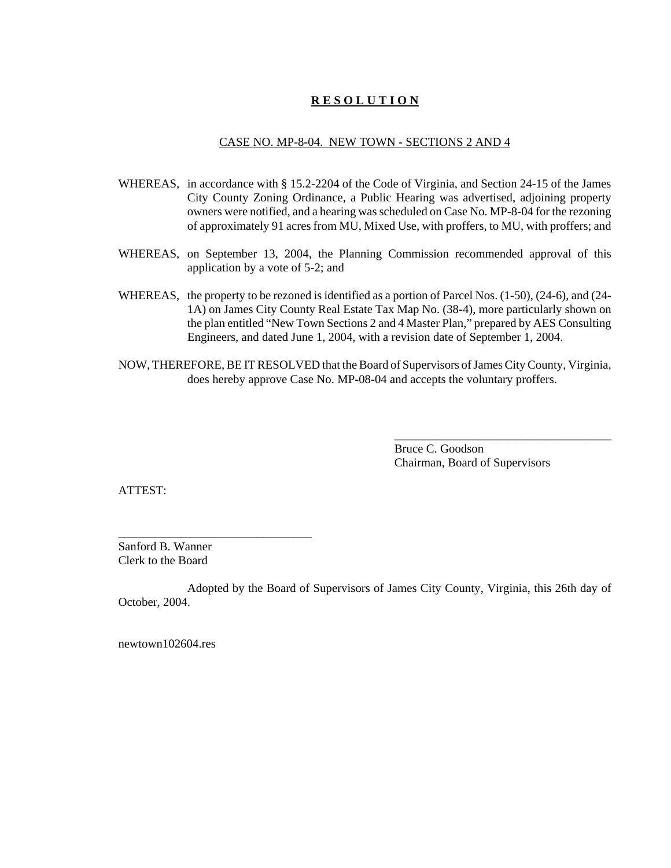# **R E S O L U T I O N**

## CASE NO. MP-8-04. NEW TOWN - SECTIONS 2 AND 4

- WHEREAS, in accordance with § 15.2-2204 of the Code of Virginia, and Section 24-15 of the James City County Zoning Ordinance, a Public Hearing was advertised, adjoining property owners were notified, and a hearing was scheduled on Case No. MP-8-04 for the rezoning of approximately 91 acres from MU, Mixed Use, with proffers, to MU, with proffers; and
- WHEREAS, on September 13, 2004, the Planning Commission recommended approval of this application by a vote of 5-2; and
- WHEREAS, the property to be rezoned is identified as a portion of Parcel Nos. (1-50), (24-6), and (24- 1A) on James City County Real Estate Tax Map No. (38-4), more particularly shown on the plan entitled "New Town Sections 2 and 4 Master Plan," prepared by AES Consulting Engineers, and dated June 1, 2004, with a revision date of September 1, 2004.
- NOW, THEREFORE, BE IT RESOLVED that the Board of Supervisors of James City County, Virginia, does hereby approve Case No. MP-08-04 and accepts the voluntary proffers.

Bruce C. Goodson Chairman, Board of Supervisors

\_\_\_\_\_\_\_\_\_\_\_\_\_\_\_\_\_\_\_\_\_\_\_\_\_\_\_\_\_\_\_\_\_\_\_\_

ATTEST:

Sanford B. Wanner Clerk to the Board

\_\_\_\_\_\_\_\_\_\_\_\_\_\_\_\_\_\_\_\_\_\_\_\_\_\_\_\_\_\_\_\_

Adopted by the Board of Supervisors of James City County, Virginia, this 26th day of October, 2004.

newtown102604.res